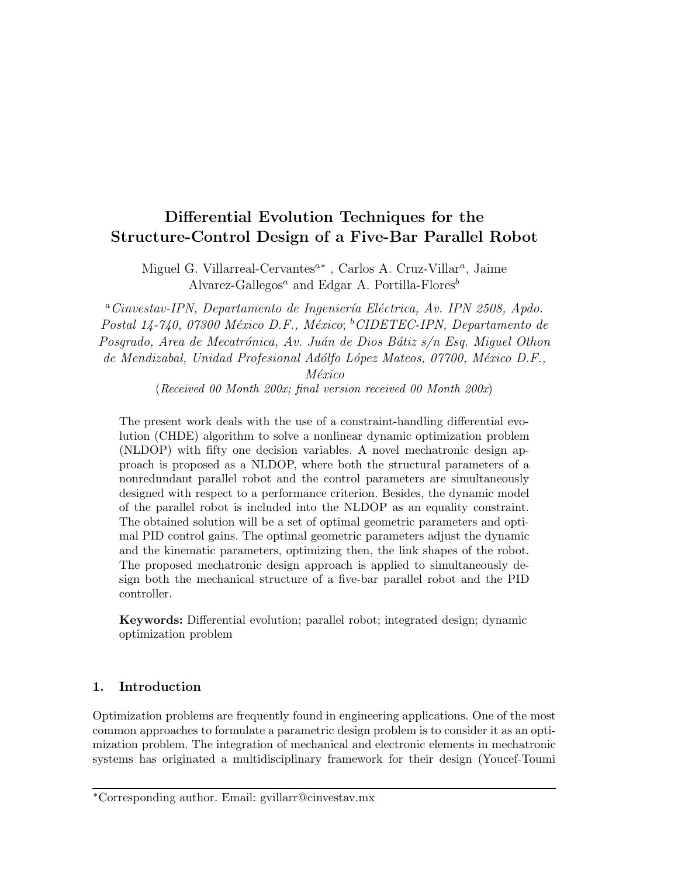# Differential Evolution Techniques for the Structure-Control Design of a Five-Bar Parallel Robot

Miguel G. Villarreal-Cervantes<sup>a\*</sup>, Carlos A. Cruz-Villar<sup>a</sup>, Jaime Alvarez-Gallegos<sup>a</sup> and Edgar A. Portilla-Flores<sup>b</sup>

 $a^a$ Cinvestav-IPN, Departamento de Ingeniería Eléctrica, Av. IPN 2508, Apdo. Postal 14-740, 07300 México D.F., México; <sup>b</sup>CIDETEC-IPN, Departamento de Posgrado, Area de Mecatrónica, Av. Juán de Dios Bátiz s/n Esq. Miguel Othon de Mendizabal, Unidad Profesional Adólfo López Mateos, 07700, México D.F.,

México

(Received 00 Month 200x; final version received 00 Month 200x)

The present work deals with the use of a constraint-handling differential evolution (CHDE) algorithm to solve a nonlinear dynamic optimization problem (NLDOP) with fifty one decision variables. A novel mechatronic design approach is proposed as a NLDOP, where both the structural parameters of a nonredundant parallel robot and the control parameters are simultaneously designed with respect to a performance criterion. Besides, the dynamic model of the parallel robot is included into the NLDOP as an equality constraint. The obtained solution will be a set of optimal geometric parameters and optimal PID control gains. The optimal geometric parameters adjust the dynamic and the kinematic parameters, optimizing then, the link shapes of the robot. The proposed mechatronic design approach is applied to simultaneously design both the mechanical structure of a five-bar parallel robot and the PID controller.

Keywords: Differential evolution; parallel robot; integrated design; dynamic optimization problem

## 1. Introduction

Optimization problems are frequently found in engineering applications. One of the most common approaches to formulate a parametric design problem is to consider it as an optimization problem. The integration of mechanical and electronic elements in mechatronic systems has originated a multidisciplinary framework for their design (Youcef-Toumi

<sup>∗</sup>Corresponding author. Email: gvillarr@cinvestav.mx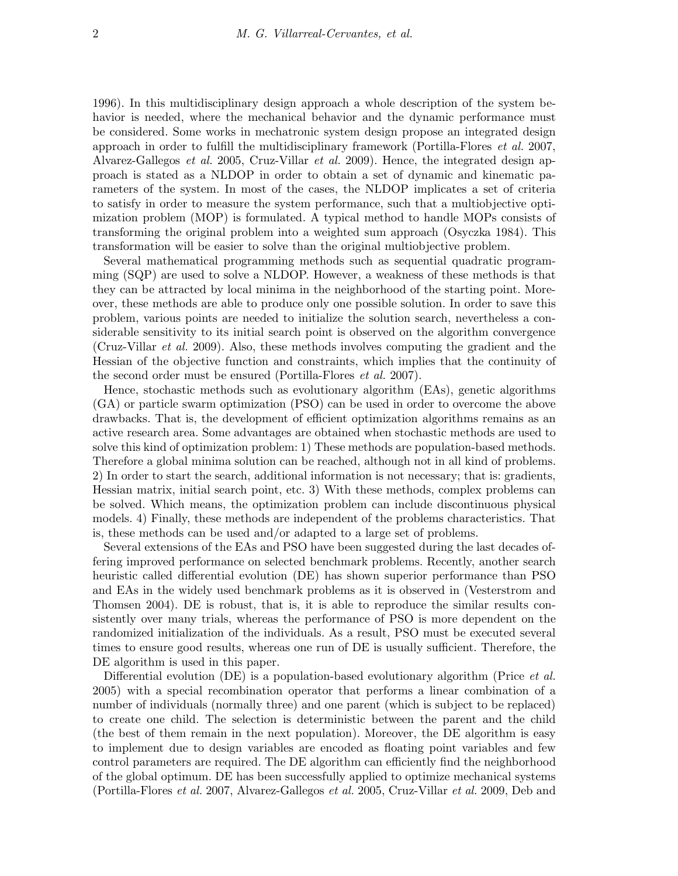1996). In this multidisciplinary design approach a whole description of the system behavior is needed, where the mechanical behavior and the dynamic performance must be considered. Some works in mechatronic system design propose an integrated design approach in order to fulfill the multidisciplinary framework (Portilla-Flores et al. 2007, Alvarez-Gallegos et al. 2005, Cruz-Villar et al. 2009). Hence, the integrated design approach is stated as a NLDOP in order to obtain a set of dynamic and kinematic parameters of the system. In most of the cases, the NLDOP implicates a set of criteria to satisfy in order to measure the system performance, such that a multiobjective optimization problem (MOP) is formulated. A typical method to handle MOPs consists of transforming the original problem into a weighted sum approach (Osyczka 1984). This transformation will be easier to solve than the original multiobjective problem.

Several mathematical programming methods such as sequential quadratic programming (SQP) are used to solve a NLDOP. However, a weakness of these methods is that they can be attracted by local minima in the neighborhood of the starting point. Moreover, these methods are able to produce only one possible solution. In order to save this problem, various points are needed to initialize the solution search, nevertheless a considerable sensitivity to its initial search point is observed on the algorithm convergence (Cruz-Villar et al. 2009). Also, these methods involves computing the gradient and the Hessian of the objective function and constraints, which implies that the continuity of the second order must be ensured (Portilla-Flores et al. 2007).

Hence, stochastic methods such as evolutionary algorithm (EAs), genetic algorithms (GA) or particle swarm optimization (PSO) can be used in order to overcome the above drawbacks. That is, the development of efficient optimization algorithms remains as an active research area. Some advantages are obtained when stochastic methods are used to solve this kind of optimization problem: 1) These methods are population-based methods. Therefore a global minima solution can be reached, although not in all kind of problems. 2) In order to start the search, additional information is not necessary; that is: gradients, Hessian matrix, initial search point, etc. 3) With these methods, complex problems can be solved. Which means, the optimization problem can include discontinuous physical models. 4) Finally, these methods are independent of the problems characteristics. That is, these methods can be used and/or adapted to a large set of problems.

Several extensions of the EAs and PSO have been suggested during the last decades offering improved performance on selected benchmark problems. Recently, another search heuristic called differential evolution (DE) has shown superior performance than PSO and EAs in the widely used benchmark problems as it is observed in (Vesterstrom and Thomsen 2004). DE is robust, that is, it is able to reproduce the similar results consistently over many trials, whereas the performance of PSO is more dependent on the randomized initialization of the individuals. As a result, PSO must be executed several times to ensure good results, whereas one run of DE is usually sufficient. Therefore, the DE algorithm is used in this paper.

Differential evolution (DE) is a population-based evolutionary algorithm (Price *et al.* 2005) with a special recombination operator that performs a linear combination of a number of individuals (normally three) and one parent (which is subject to be replaced) to create one child. The selection is deterministic between the parent and the child (the best of them remain in the next population). Moreover, the DE algorithm is easy to implement due to design variables are encoded as floating point variables and few control parameters are required. The DE algorithm can efficiently find the neighborhood of the global optimum. DE has been successfully applied to optimize mechanical systems (Portilla-Flores et al. 2007, Alvarez-Gallegos et al. 2005, Cruz-Villar et al. 2009, Deb and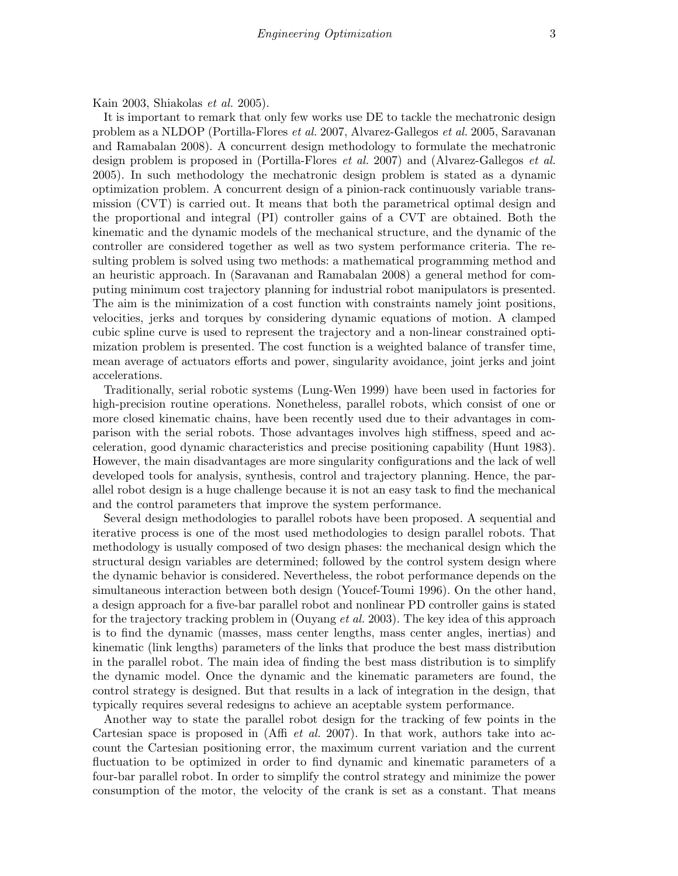Kain 2003, Shiakolas et al. 2005).

It is important to remark that only few works use DE to tackle the mechatronic design problem as a NLDOP (Portilla-Flores et al. 2007, Alvarez-Gallegos et al. 2005, Saravanan and Ramabalan 2008). A concurrent design methodology to formulate the mechatronic design problem is proposed in (Portilla-Flores *et al.* 2007) and (Alvarez-Gallegos *et al.* 2005). In such methodology the mechatronic design problem is stated as a dynamic optimization problem. A concurrent design of a pinion-rack continuously variable transmission (CVT) is carried out. It means that both the parametrical optimal design and the proportional and integral (PI) controller gains of a CVT are obtained. Both the kinematic and the dynamic models of the mechanical structure, and the dynamic of the controller are considered together as well as two system performance criteria. The resulting problem is solved using two methods: a mathematical programming method and an heuristic approach. In (Saravanan and Ramabalan 2008) a general method for computing minimum cost trajectory planning for industrial robot manipulators is presented. The aim is the minimization of a cost function with constraints namely joint positions, velocities, jerks and torques by considering dynamic equations of motion. A clamped cubic spline curve is used to represent the trajectory and a non-linear constrained optimization problem is presented. The cost function is a weighted balance of transfer time, mean average of actuators efforts and power, singularity avoidance, joint jerks and joint accelerations.

Traditionally, serial robotic systems (Lung-Wen 1999) have been used in factories for high-precision routine operations. Nonetheless, parallel robots, which consist of one or more closed kinematic chains, have been recently used due to their advantages in comparison with the serial robots. Those advantages involves high stiffness, speed and acceleration, good dynamic characteristics and precise positioning capability (Hunt 1983). However, the main disadvantages are more singularity configurations and the lack of well developed tools for analysis, synthesis, control and trajectory planning. Hence, the parallel robot design is a huge challenge because it is not an easy task to find the mechanical and the control parameters that improve the system performance.

Several design methodologies to parallel robots have been proposed. A sequential and iterative process is one of the most used methodologies to design parallel robots. That methodology is usually composed of two design phases: the mechanical design which the structural design variables are determined; followed by the control system design where the dynamic behavior is considered. Nevertheless, the robot performance depends on the simultaneous interaction between both design (Youcef-Toumi 1996). On the other hand, a design approach for a five-bar parallel robot and nonlinear PD controller gains is stated for the trajectory tracking problem in (Ouyang *et al.* 2003). The key idea of this approach is to find the dynamic (masses, mass center lengths, mass center angles, inertias) and kinematic (link lengths) parameters of the links that produce the best mass distribution in the parallel robot. The main idea of finding the best mass distribution is to simplify the dynamic model. Once the dynamic and the kinematic parameters are found, the control strategy is designed. But that results in a lack of integration in the design, that typically requires several redesigns to achieve an aceptable system performance.

Another way to state the parallel robot design for the tracking of few points in the Cartesian space is proposed in (Affi *et al.* 2007). In that work, authors take into account the Cartesian positioning error, the maximum current variation and the current fluctuation to be optimized in order to find dynamic and kinematic parameters of a four-bar parallel robot. In order to simplify the control strategy and minimize the power consumption of the motor, the velocity of the crank is set as a constant. That means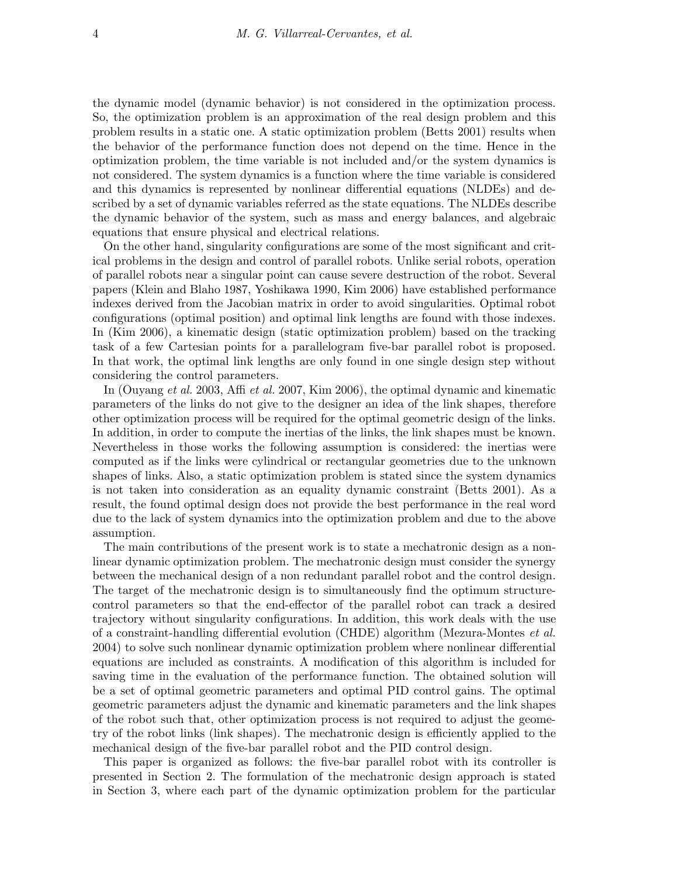the dynamic model (dynamic behavior) is not considered in the optimization process. So, the optimization problem is an approximation of the real design problem and this problem results in a static one. A static optimization problem (Betts 2001) results when the behavior of the performance function does not depend on the time. Hence in the optimization problem, the time variable is not included and/or the system dynamics is not considered. The system dynamics is a function where the time variable is considered and this dynamics is represented by nonlinear differential equations (NLDEs) and described by a set of dynamic variables referred as the state equations. The NLDEs describe the dynamic behavior of the system, such as mass and energy balances, and algebraic equations that ensure physical and electrical relations.

On the other hand, singularity configurations are some of the most significant and critical problems in the design and control of parallel robots. Unlike serial robots, operation of parallel robots near a singular point can cause severe destruction of the robot. Several papers (Klein and Blaho 1987, Yoshikawa 1990, Kim 2006) have established performance indexes derived from the Jacobian matrix in order to avoid singularities. Optimal robot configurations (optimal position) and optimal link lengths are found with those indexes. In (Kim 2006), a kinematic design (static optimization problem) based on the tracking task of a few Cartesian points for a parallelogram five-bar parallel robot is proposed. In that work, the optimal link lengths are only found in one single design step without considering the control parameters.

In (Ouyang et al. 2003, Affi et al. 2007, Kim 2006), the optimal dynamic and kinematic parameters of the links do not give to the designer an idea of the link shapes, therefore other optimization process will be required for the optimal geometric design of the links. In addition, in order to compute the inertias of the links, the link shapes must be known. Nevertheless in those works the following assumption is considered: the inertias were computed as if the links were cylindrical or rectangular geometries due to the unknown shapes of links. Also, a static optimization problem is stated since the system dynamics is not taken into consideration as an equality dynamic constraint (Betts 2001). As a result, the found optimal design does not provide the best performance in the real word due to the lack of system dynamics into the optimization problem and due to the above assumption.

The main contributions of the present work is to state a mechatronic design as a nonlinear dynamic optimization problem. The mechatronic design must consider the synergy between the mechanical design of a non redundant parallel robot and the control design. The target of the mechatronic design is to simultaneously find the optimum structurecontrol parameters so that the end-effector of the parallel robot can track a desired trajectory without singularity configurations. In addition, this work deals with the use of a constraint-handling differential evolution (CHDE) algorithm (Mezura-Montes et al. 2004) to solve such nonlinear dynamic optimization problem where nonlinear differential equations are included as constraints. A modification of this algorithm is included for saving time in the evaluation of the performance function. The obtained solution will be a set of optimal geometric parameters and optimal PID control gains. The optimal geometric parameters adjust the dynamic and kinematic parameters and the link shapes of the robot such that, other optimization process is not required to adjust the geometry of the robot links (link shapes). The mechatronic design is efficiently applied to the mechanical design of the five-bar parallel robot and the PID control design.

This paper is organized as follows: the five-bar parallel robot with its controller is presented in Section 2. The formulation of the mechatronic design approach is stated in Section 3, where each part of the dynamic optimization problem for the particular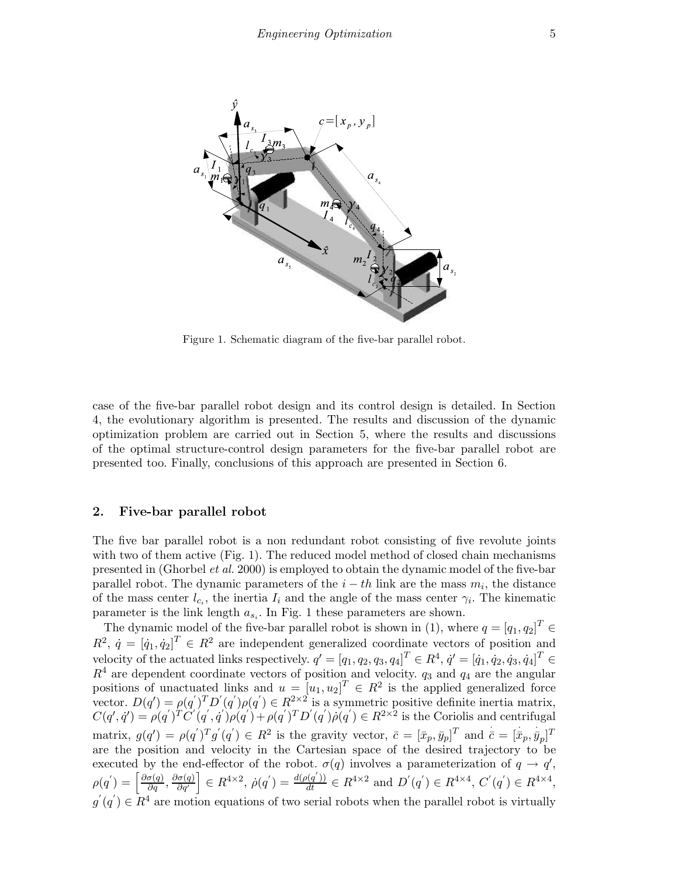

Figure 1. Schematic diagram of the five-bar parallel robot.

case of the five-bar parallel robot design and its control design is detailed. In Section 4, the evolutionary algorithm is presented. The results and discussion of the dynamic optimization problem are carried out in Section 5, where the results and discussions of the optimal structure-control design parameters for the five-bar parallel robot are presented too. Finally, conclusions of this approach are presented in Section 6.

## 2. Five-bar parallel robot

The five bar parallel robot is a non redundant robot consisting of five revolute joints with two of them active (Fig. 1). The reduced model method of closed chain mechanisms presented in (Ghorbel et al. 2000) is employed to obtain the dynamic model of the five-bar parallel robot. The dynamic parameters of the  $i - th$  link are the mass  $m_i$ , the distance of the mass center  $l_{c_i}$ , the inertia  $I_i$  and the angle of the mass center  $\gamma_i$ . The kinematic parameter is the link length  $a_{s_i}$ . In Fig. 1 these parameters are shown.

The dynamic model of the five-bar parallel robot is shown in (1), where  $q = [q_1, q_2]^T \in$  $R^2$ ,  $\dot{q} = [\dot{q}_1, \dot{q}_2]^T \in R^2$  are independent generalized coordinate vectors of position and velocity of the actuated links respectively.  $q' = [q_1, q_2, q_3, q_4]^T \in R^4$ ,  $q' = [q_1, q_2, q_3, q_4]^T \in$  $R^4$  are dependent coordinate vectors of position and velocity.  $q_3$  and  $q_4$  are the angular positions of unactuated links and  $u = [u_1, u_2]^T \in R^2$  is the applied generalized force vector.  $D(q') = \rho(q')^T D'(q') \rho(q') \in R^{2 \times 2}$  is a symmetric positive definite inertia matrix,  $C(q',\dot{q}') = \rho(q')^T \ddot{C}'(q',\dot{q}') \rho(q') + \rho(q')^T D'(q') \rho(q') \in R^{2 \times 2}$  is the Coriolis and centrifugal matrix,  $g(q') = \rho(q')^T g'(q') \in R^2$  is the gravity vector,  $\bar{c} = [\bar{x}_p, \bar{y}_p]^T$  and  $\bar{c} = [\bar{x}_p, \bar{y}_p]^T$ are the position and velocity in the Cartesian space of the desired trajectory to be executed by the end-effector of the robot.  $\sigma(q)$  involves a parameterization of  $q \to q'$ ,  $\rho(q') = \left[\frac{\partial \sigma(q)}{\partial q}, \frac{\partial \sigma(q)}{\partial q'}\right] \in R^{4 \times 2}, \ \dot{\rho}(q') = \frac{d(\rho(q'))}{dt} \in R^{4 \times 2} \text{ and } D'(q') \in R^{4 \times 4}, C'(q') \in R^{4 \times 4},$  $g'(q') \in \mathbb{R}^4$  are motion equations of two serial robots when the parallel robot is virtually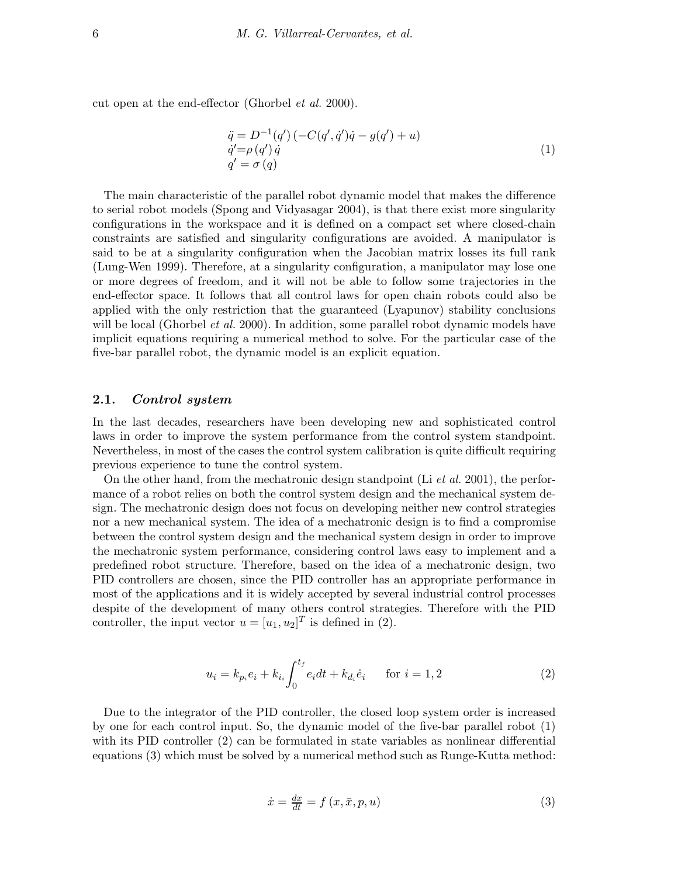cut open at the end-effector (Ghorbel et al. 2000).

$$
\ddot{q} = D^{-1}(q') (-C(q', \dot{q}')\dot{q} - g(q') + u) \n\dot{q}' = \rho(q') \dot{q} \nq' = \sigma(q)
$$
\n(1)

The main characteristic of the parallel robot dynamic model that makes the difference to serial robot models (Spong and Vidyasagar 2004), is that there exist more singularity configurations in the workspace and it is defined on a compact set where closed-chain constraints are satisfied and singularity configurations are avoided. A manipulator is said to be at a singularity configuration when the Jacobian matrix losses its full rank (Lung-Wen 1999). Therefore, at a singularity configuration, a manipulator may lose one or more degrees of freedom, and it will not be able to follow some trajectories in the end-effector space. It follows that all control laws for open chain robots could also be applied with the only restriction that the guaranteed (Lyapunov) stability conclusions will be local (Ghorbel *et al.* 2000). In addition, some parallel robot dynamic models have implicit equations requiring a numerical method to solve. For the particular case of the five-bar parallel robot, the dynamic model is an explicit equation.

#### 2.1. Control system

In the last decades, researchers have been developing new and sophisticated control laws in order to improve the system performance from the control system standpoint. Nevertheless, in most of the cases the control system calibration is quite difficult requiring previous experience to tune the control system.

On the other hand, from the mechatronic design standpoint (Li *et al.* 2001), the performance of a robot relies on both the control system design and the mechanical system design. The mechatronic design does not focus on developing neither new control strategies nor a new mechanical system. The idea of a mechatronic design is to find a compromise between the control system design and the mechanical system design in order to improve the mechatronic system performance, considering control laws easy to implement and a predefined robot structure. Therefore, based on the idea of a mechatronic design, two PID controllers are chosen, since the PID controller has an appropriate performance in most of the applications and it is widely accepted by several industrial control processes despite of the development of many others control strategies. Therefore with the PID controller, the input vector  $u = [u_1, u_2]^T$  is defined in (2).

$$
u_i = k_{p_i} e_i + k_{i_i} \int_0^{t_f} e_i dt + k_{d_i} \dot{e}_i \quad \text{for } i = 1, 2
$$
 (2)

Due to the integrator of the PID controller, the closed loop system order is increased by one for each control input. So, the dynamic model of the five-bar parallel robot (1) with its PID controller (2) can be formulated in state variables as nonlinear differential equations (3) which must be solved by a numerical method such as Runge-Kutta method:

$$
\dot{x} = \frac{dx}{dt} = f(x, \bar{x}, p, u)
$$
\n(3)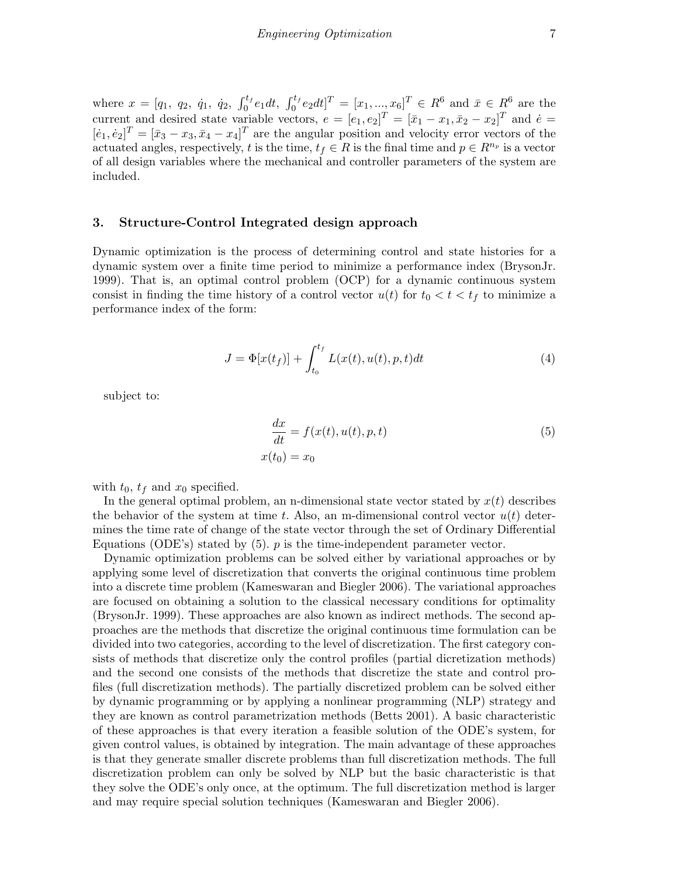where  $x = [q_1, q_2, \dot{q}_1, \dot{q}_2, \int_0^{t_f} e_1 dt, \int_0^{t_f} e_2 dt]^T = [x_1, ..., x_6]^T \in R^6$  and  $\bar{x} \in R^6$  are the current and desired state variable vectors,  $e = [e_1, e_2]^T = [\bar{x}_1 - x_1, \bar{x}_2 - x_2]^T$  and  $\dot{e} =$  $[\dot{e}_1, \dot{e}_2]^T = [\bar{x}_3 - x_3, \bar{x}_4 - x_4]^T$  are the angular position and velocity error vectors of the actuated angles, respectively, t is the time,  $t_f \in R$  is the final time and  $p \in R^{n_p}$  is a vector of all design variables where the mechanical and controller parameters of the system are included.

## 3. Structure-Control Integrated design approach

Dynamic optimization is the process of determining control and state histories for a dynamic system over a finite time period to minimize a performance index (BrysonJr. 1999). That is, an optimal control problem (OCP) for a dynamic continuous system consist in finding the time history of a control vector  $u(t)$  for  $t_0 < t < t_f$  to minimize a performance index of the form:

$$
J = \Phi[x(t_f)] + \int_{t_0}^{t_f} L(x(t), u(t), p, t)dt
$$
\n(4)

subject to:

$$
\frac{dx}{dt} = f(x(t), u(t), p, t)
$$
  
\n
$$
x(t_0) = x_0
$$
\n(5)

with  $t_0$ ,  $t_f$  and  $x_0$  specified.

In the general optimal problem, an n-dimensional state vector stated by  $x(t)$  describes the behavior of the system at time t. Also, an m-dimensional control vector  $u(t)$  determines the time rate of change of the state vector through the set of Ordinary Differential Equations (ODE's) stated by  $(5)$ . p is the time-independent parameter vector.

Dynamic optimization problems can be solved either by variational approaches or by applying some level of discretization that converts the original continuous time problem into a discrete time problem (Kameswaran and Biegler 2006). The variational approaches are focused on obtaining a solution to the classical necessary conditions for optimality (BrysonJr. 1999). These approaches are also known as indirect methods. The second approaches are the methods that discretize the original continuous time formulation can be divided into two categories, according to the level of discretization. The first category consists of methods that discretize only the control profiles (partial dicretization methods) and the second one consists of the methods that discretize the state and control profiles (full discretization methods). The partially discretized problem can be solved either by dynamic programming or by applying a nonlinear programming (NLP) strategy and they are known as control parametrization methods (Betts 2001). A basic characteristic of these approaches is that every iteration a feasible solution of the ODE's system, for given control values, is obtained by integration. The main advantage of these approaches is that they generate smaller discrete problems than full discretization methods. The full discretization problem can only be solved by NLP but the basic characteristic is that they solve the ODE's only once, at the optimum. The full discretization method is larger and may require special solution techniques (Kameswaran and Biegler 2006).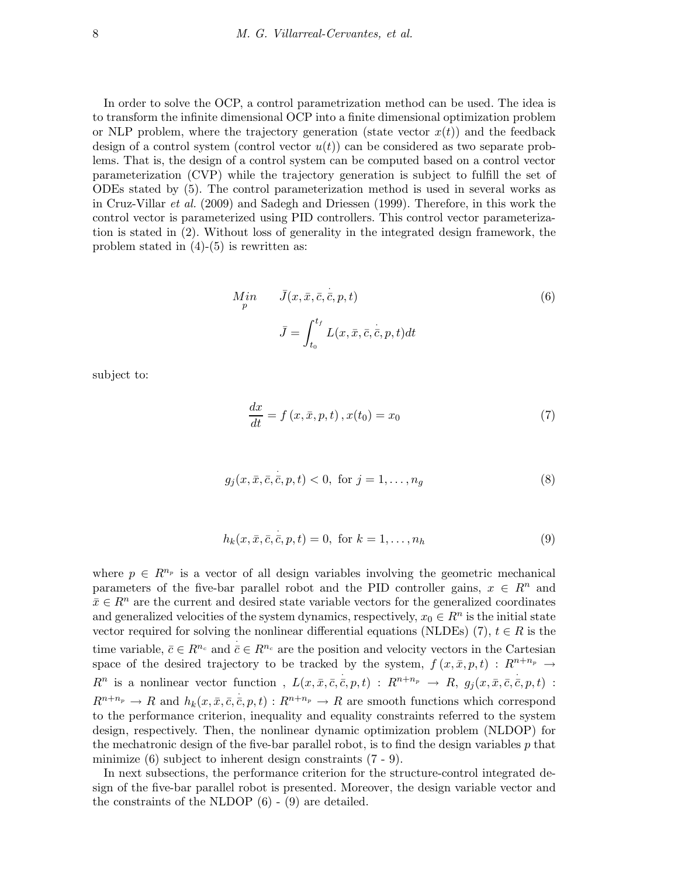In order to solve the OCP, a control parametrization method can be used. The idea is to transform the infinite dimensional OCP into a finite dimensional optimization problem or NLP problem, where the trajectory generation (state vector  $x(t)$ ) and the feedback design of a control system (control vector  $u(t)$ ) can be considered as two separate problems. That is, the design of a control system can be computed based on a control vector parameterization (CVP) while the trajectory generation is subject to fulfill the set of ODEs stated by (5). The control parameterization method is used in several works as in Cruz-Villar et al. (2009) and Sadegh and Driessen (1999). Therefore, in this work the control vector is parameterized using PID controllers. This control vector parameterization is stated in (2). Without loss of generality in the integrated design framework, the problem stated in  $(4)-(5)$  is rewritten as:

$$
M_{p}^{in} \qquad \bar{J}(x, \bar{x}, \bar{c}, \dot{\bar{c}}, p, t)
$$
\n
$$
\bar{J} = \int_{t_0}^{t_f} L(x, \bar{x}, \bar{c}, \dot{\bar{c}}, p, t) dt
$$
\n(6)

subject to:

$$
\frac{dx}{dt} = f(x, \bar{x}, p, t), x(t_0) = x_0 \tag{7}
$$

$$
g_j(x, \bar{x}, \bar{c}, \bar{c}, p, t) < 0, \text{ for } j = 1, \dots, n_g \tag{8}
$$

$$
h_k(x, \bar{x}, \bar{c}, \bar{c}, p, t) = 0, \text{ for } k = 1, \dots, n_h
$$
 (9)

where  $p \in R^{n_p}$  is a vector of all design variables involving the geometric mechanical parameters of the five-bar parallel robot and the PID controller gains,  $x \in R^n$  and  $\bar{x} \in \mathbb{R}^n$  are the current and desired state variable vectors for the generalized coordinates and generalized velocities of the system dynamics, respectively,  $x_0 \in R^n$  is the initial state vector required for solving the nonlinear differential equations (NLDEs) (7),  $t \in R$  is the time variable,  $\bar{c} \in R^{n_c}$  and  $\bar{c} \in R^{n_c}$  are the position and velocity vectors in the Cartesian space of the desired trajectory to be tracked by the system,  $f(x, \bar{x}, p, t) : R^{n+n_p} \rightarrow$  $R^n$  is a nonlinear vector function,  $L(x, \bar{x}, \bar{c}, \bar{c}, p, t)$  :  $R^{n+n_p} \to R$ ,  $g_j(x, \bar{x}, \bar{c}, \bar{c}, p, t)$  :  $R^{n+n_p} \to R$  and  $h_k(x, \bar{x}, \bar{c}, \bar{c}, p, t) : R^{n+n_p} \to R$  are smooth functions which correspond to the performance criterion, inequality and equality constraints referred to the system design, respectively. Then, the nonlinear dynamic optimization problem (NLDOP) for the mechatronic design of the five-bar parallel robot, is to find the design variables  $p$  that minimize (6) subject to inherent design constraints (7 - 9).

In next subsections, the performance criterion for the structure-control integrated design of the five-bar parallel robot is presented. Moreover, the design variable vector and the constraints of the NLDOP (6) - (9) are detailed.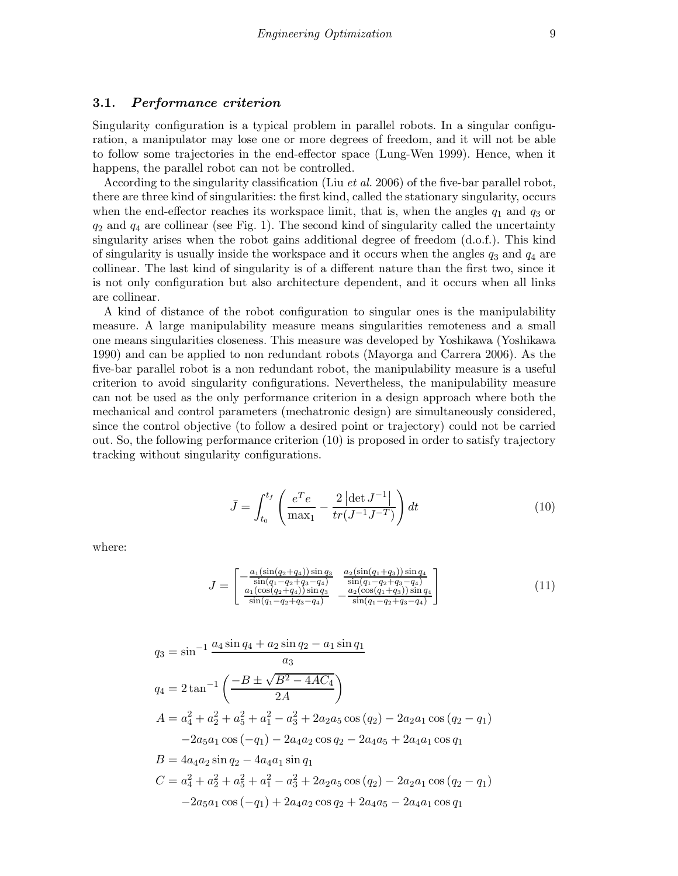## 3.1. Performance criterion

Singularity configuration is a typical problem in parallel robots. In a singular configuration, a manipulator may lose one or more degrees of freedom, and it will not be able to follow some trajectories in the end-effector space (Lung-Wen 1999). Hence, when it happens, the parallel robot can not be controlled.

According to the singularity classification (Liu *et al.* 2006) of the five-bar parallel robot, there are three kind of singularities: the first kind, called the stationary singularity, occurs when the end-effector reaches its workspace limit, that is, when the angles  $q_1$  and  $q_3$  or  $q_2$  and  $q_4$  are collinear (see Fig. 1). The second kind of singularity called the uncertainty singularity arises when the robot gains additional degree of freedom (d.o.f.). This kind of singularity is usually inside the workspace and it occurs when the angles  $q_3$  and  $q_4$  are collinear. The last kind of singularity is of a different nature than the first two, since it is not only configuration but also architecture dependent, and it occurs when all links are collinear.

A kind of distance of the robot configuration to singular ones is the manipulability measure. A large manipulability measure means singularities remoteness and a small one means singularities closeness. This measure was developed by Yoshikawa (Yoshikawa 1990) and can be applied to non redundant robots (Mayorga and Carrera 2006). As the five-bar parallel robot is a non redundant robot, the manipulability measure is a useful criterion to avoid singularity configurations. Nevertheless, the manipulability measure can not be used as the only performance criterion in a design approach where both the mechanical and control parameters (mechatronic design) are simultaneously considered, since the control objective (to follow a desired point or trajectory) could not be carried out. So, the following performance criterion (10) is proposed in order to satisfy trajectory tracking without singularity configurations.

$$
\bar{J} = \int_{t_0}^{t_f} \left( \frac{e^T e}{\max_1} - \frac{2 \left| \det J^{-1} \right|}{tr(J^{-1} J^{-T})} \right) dt \tag{10}
$$

where:

$$
J = \begin{bmatrix} -\frac{a_1(\sin(q_2+q_4))\sin q_3}{\sin(q_1-q_2+q_3-q_4)} & \frac{a_2(\sin(q_1+q_3))\sin q_4}{\sin(q_1-q_2+q_3-q_4)}\\ \frac{a_1(\cos(q_2+q_4))\sin q_3}{\sin(q_1-q_2+q_3-q_4)} & -\frac{a_2(\cos(q_1+q_3))\sin q_4}{\sin(q_1-q_2+q_3-q_4)} \end{bmatrix} \tag{11}
$$

$$
q_3 = \sin^{-1} \frac{a_4 \sin q_4 + a_2 \sin q_2 - a_1 \sin q_1}{a_3}
$$
  
\n
$$
q_4 = 2 \tan^{-1} \left( \frac{-B \pm \sqrt{B^2 - 4AC_4}}{2A} \right)
$$
  
\n
$$
A = a_4^2 + a_2^2 + a_5^2 + a_1^2 - a_3^2 + 2a_2 a_5 \cos (q_2) - 2a_2 a_1 \cos (q_2 - q_1)
$$
  
\n
$$
-2a_5 a_1 \cos (-q_1) - 2a_4 a_2 \cos q_2 - 2a_4 a_5 + 2a_4 a_1 \cos q_1
$$
  
\n
$$
B = 4a_4 a_2 \sin q_2 - 4a_4 a_1 \sin q_1
$$
  
\n
$$
C = a_4^2 + a_2^2 + a_5^2 + a_1^2 - a_3^2 + 2a_2 a_5 \cos (q_2) - 2a_2 a_1 \cos (q_2 - q_1)
$$
  
\n
$$
-2a_5 a_1 \cos (-q_1) + 2a_4 a_2 \cos q_2 + 2a_4 a_5 - 2a_4 a_1 \cos q_1
$$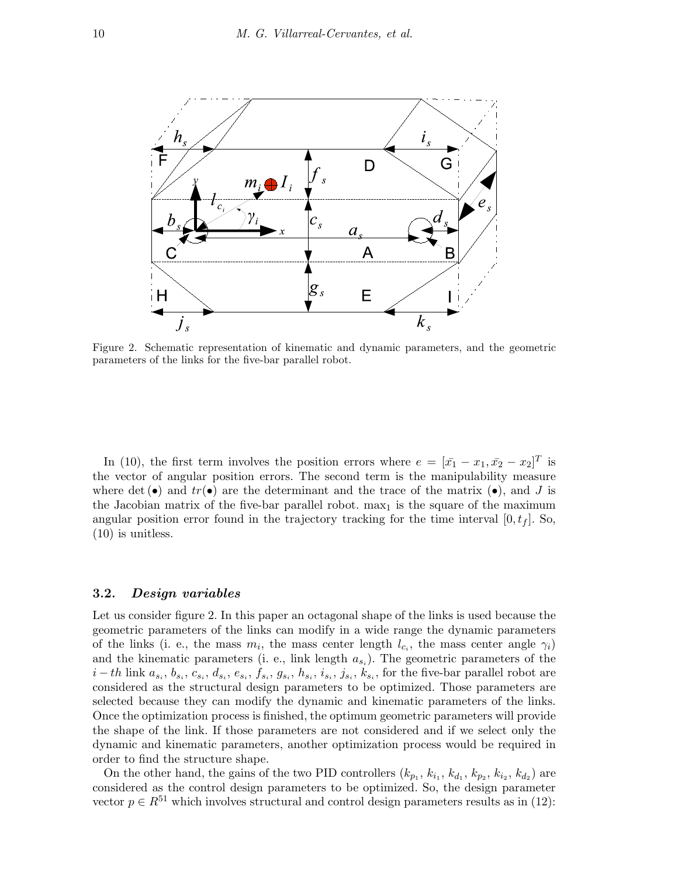

Figure 2. Schematic representation of kinematic and dynamic parameters, and the geometric parameters of the links for the five-bar parallel robot.

In (10), the first term involves the position errors where  $e = [\bar{x_1} - x_1, \bar{x_2} - x_2]^T$  is the vector of angular position errors. The second term is the manipulability measure where det (•) and  $tr(\bullet)$  are the determinant and the trace of the matrix (•), and J is the Jacobian matrix of the five-bar parallel robot.  $\max_1$  is the square of the maximum angular position error found in the trajectory tracking for the time interval  $[0, t_f]$ . So, (10) is unitless.

## 3.2. Design variables

Let us consider figure 2. In this paper an octagonal shape of the links is used because the geometric parameters of the links can modify in a wide range the dynamic parameters of the links (i. e., the mass  $m_i$ , the mass center length  $l_{c_i}$ , the mass center angle  $\gamma_i$ ) and the kinematic parameters (i. e., link length  $a_{s_i}$ ). The geometric parameters of the  $i-th$  link  $a_{s_i}, b_{s_i}, c_{s_i}, d_{s_i}, e_{s_i}, f_{s_i}, g_{s_i}, h_{s_i}, i_{s_i}, j_{s_i}, k_{s_i}$ , for the five-bar parallel robot are considered as the structural design parameters to be optimized. Those parameters are selected because they can modify the dynamic and kinematic parameters of the links. Once the optimization process is finished, the optimum geometric parameters will provide the shape of the link. If those parameters are not considered and if we select only the dynamic and kinematic parameters, another optimization process would be required in order to find the structure shape.

On the other hand, the gains of the two PID controllers  $(k_{p_1}, k_{i_1}, k_{d_1}, k_{p_2}, k_{i_2}, k_{d_2})$  are considered as the control design parameters to be optimized. So, the design parameter vector  $p \in R^{51}$  which involves structural and control design parameters results as in (12):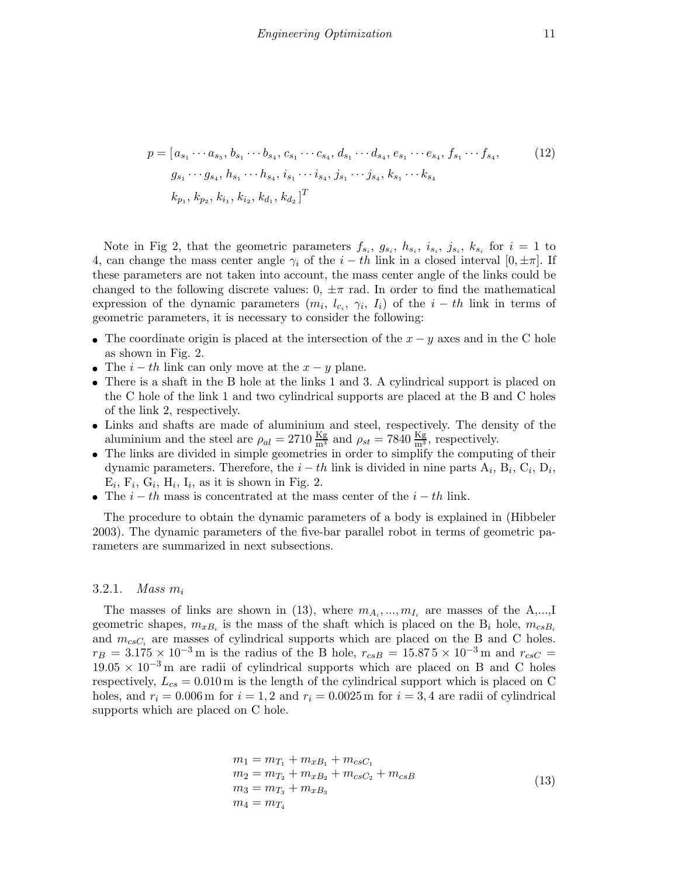$$
p = [a_{s_1} \cdots a_{s_5}, b_{s_1} \cdots b_{s_4}, c_{s_1} \cdots c_{s_4}, d_{s_1} \cdots d_{s_4}, e_{s_1} \cdots e_{s_4}, f_{s_1} \cdots f_{s_4},
$$
  
\n
$$
g_{s_1} \cdots g_{s_4}, h_{s_1} \cdots h_{s_4}, i_{s_1} \cdots i_{s_4}, j_{s_1} \cdots j_{s_4}, k_{s_1} \cdots k_{s_4}
$$
  
\n
$$
k_{p_1}, k_{p_2}, k_{i_1}, k_{i_2}, k_{d_1}, k_{d_2}]^T
$$
\n(12)

Note in Fig 2, that the geometric parameters  $f_{s_i}, g_{s_i}, h_{s_i}, i_{s_i}, j_{s_i}, k_{s_i}$  for  $i = 1$  to 4, can change the mass center angle  $\gamma_i$  of the  $i - th$  link in a closed interval  $[0, \pm \pi]$ . If these parameters are not taken into account, the mass center angle of the links could be changed to the following discrete values:  $0, \pm \pi$  rad. In order to find the mathematical expression of the dynamic parameters  $(m_i, l_{c_i}, \gamma_i, I_i)$  of the  $i - th$  link in terms of geometric parameters, it is necessary to consider the following:

- The coordinate origin is placed at the intersection of the  $x y$  axes and in the C hole as shown in Fig. 2.
- The  $i th$  link can only move at the  $x y$  plane.
- There is a shaft in the B hole at the links 1 and 3. A cylindrical support is placed on the C hole of the link 1 and two cylindrical supports are placed at the B and C holes of the link 2, respectively.
- Links and shafts are made of aluminium and steel, respectively. The density of the aluminium and the steel are  $\rho_{al} = 2710 \frac{\text{Kg}}{\text{m}^3}$  and  $\rho_{st} = 7840 \frac{\text{Kg}}{\text{m}^3}$ , respectively.
- The links are divided in simple geometries in order to simplify the computing of their dynamic parameters. Therefore, the  $i - th$  link is divided in nine parts  $A_i$ ,  $B_i$ ,  $C_i$ ,  $D_i$ ,  $E_i$ ,  $F_i$ ,  $G_i$ ,  $H_i$ ,  $I_i$ , as it is shown in Fig. 2.
- The  $i th$  mass is concentrated at the mass center of the  $i th$  link.

The procedure to obtain the dynamic parameters of a body is explained in (Hibbeler 2003). The dynamic parameters of the five-bar parallel robot in terms of geometric parameters are summarized in next subsections.

#### 3.2.1. *Mass*  $m_i$

The masses of links are shown in (13), where  $m_{A_i},...,m_{I_i}$  are masses of the A,...,I geometric shapes,  $m_{xB_i}$  is the mass of the shaft which is placed on the  $B_i$  hole,  $m_{csB_i}$ and  $m_{csC_i}$  are masses of cylindrical supports which are placed on the B and C holes.  $r_B = 3.175 \times 10^{-3}$  m is the radius of the B hole,  $r_{csB} = 15.875 \times 10^{-3}$  m and  $r_{csC}$  =  $19.05 \times 10^{-3}$  m are radii of cylindrical supports which are placed on B and C holes respectively,  $L_{cs} = 0.010 \text{ m}$  is the length of the cylindrical support which is placed on C holes, and  $r_i = 0.006$  m for  $i = 1, 2$  and  $r_i = 0.0025$  m for  $i = 3, 4$  are radii of cylindrical supports which are placed on C hole.

$$
m_1 = m_{T_1} + m_{xB_1} + m_{csc_1}
$$
  
\n
$$
m_2 = m_{T_2} + m_{xB_2} + m_{csc_2} + m_{csB}
$$
  
\n
$$
m_3 = m_{T_3} + m_{xB_3}
$$
  
\n
$$
m_4 = m_{T_4}
$$
\n(13)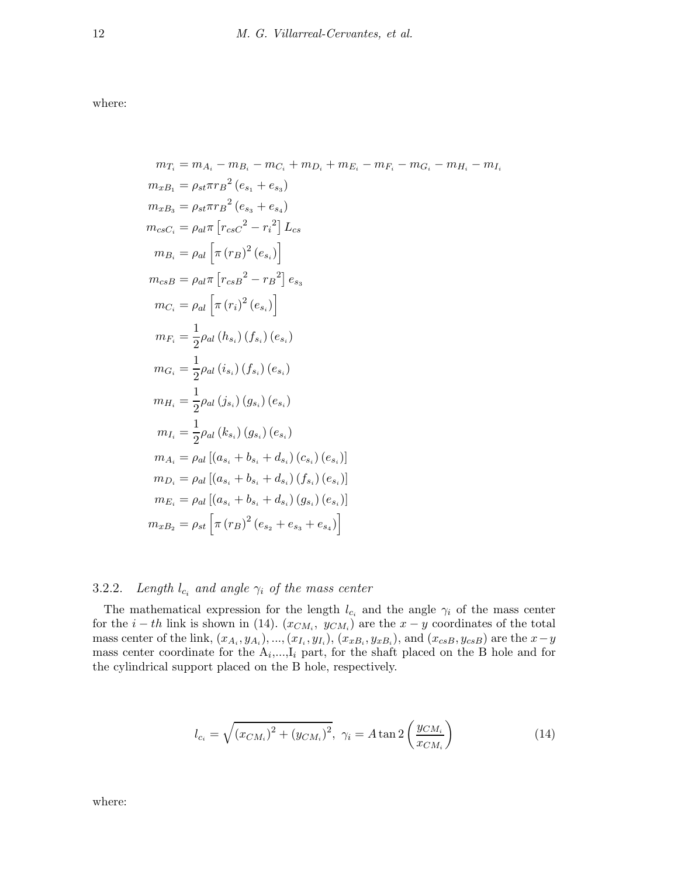where:

$$
m_{T_i} = m_{A_i} - m_{B_i} - m_{C_i} + m_{D_i} + m_{E_i} - m_{F_i} - m_{G_i} - m_{H_i} - m_{I_i}
$$
  
\n
$$
m_{xB_1} = \rho_{st} \pi r_B^2 (e_{s_1} + e_{s_3})
$$
  
\n
$$
m_{cs} = \rho_{at} \pi [r_{cs}c^2 - r_i^2] L_{cs}
$$
  
\n
$$
m_{B_i} = \rho_{al} [\pi (r_B)^2 (e_{s_i})]
$$
  
\n
$$
m_{cs} = \rho_{al} [\pi (r_i)^2 (e_{s_i})]
$$
  
\n
$$
m_{C_i} = \rho_{al} [\pi (r_i)^2 (e_{s_i})]
$$
  
\n
$$
m_{F_i} = \frac{1}{2} \rho_{al} (h_{s_i}) (f_{s_i}) (e_{s_i})
$$
  
\n
$$
m_{H_i} = \frac{1}{2} \rho_{al} (i_{s_i}) (f_{s_i}) (e_{s_i})
$$
  
\n
$$
m_{H_i} = \frac{1}{2} \rho_{al} (j_{s_i}) (g_{s_i}) (e_{s_i})
$$
  
\n
$$
m_{H_i} = \frac{1}{2} \rho_{al} (k_{s_i}) (g_{s_i}) (e_{s_i})
$$
  
\n
$$
m_{H_i} = \rho_{al} [a_{s_i} + b_{s_i} + d_{s_i}) (c_{s_i}) (e_{s_i})]
$$
  
\n
$$
m_{D_i} = \rho_{al} [a_{s_i} + b_{s_i} + d_{s_i}) (f_{s_i}) (e_{s_i})]
$$
  
\n
$$
m_{E_i} = \rho_{al} [a_{s_i} + b_{s_i} + d_{s_i}) (g_{s_i}) (e_{s_i})]
$$
  
\n
$$
m_{E_i} = \rho_{al} [a_{s_i} + b_{s_i} + d_{s_i}) (g_{s_i}) (e_{s_i})]
$$
  
\n
$$
m_{x_{B_2}} = \rho_{st} [\pi (r_B)^2 (e_{s_2} + e_{s_3} + e_{s_4})]
$$

## 3.2.2. Length  $l_{c_i}$  and angle  $\gamma_i$  of the mass center

The mathematical expression for the length  $l_{c_i}$  and the angle  $\gamma_i$  of the mass center for the  $i - th$  link is shown in (14).  $(x_{CM_i}, y_{CM_i})$  are the  $x - y$  coordinates of the total mass center of the link,  $(x_{A_i}, y_{A_i}), ..., (x_{I_i}, y_{I_i}), (x_{xB_i}, y_{xB_i}),$  and  $(x_{csB}, y_{csB})$  are the  $x-y$ mass center coordinate for the  $A_i, ..., I_i$  part, for the shaft placed on the B hole and for the cylindrical support placed on the B hole, respectively.

$$
l_{c_i} = \sqrt{(x_{CM_i})^2 + (y_{CM_i})^2}, \ \gamma_i = A \tan 2\left(\frac{y_{CM_i}}{x_{CM_i}}\right)
$$
 (14)

where: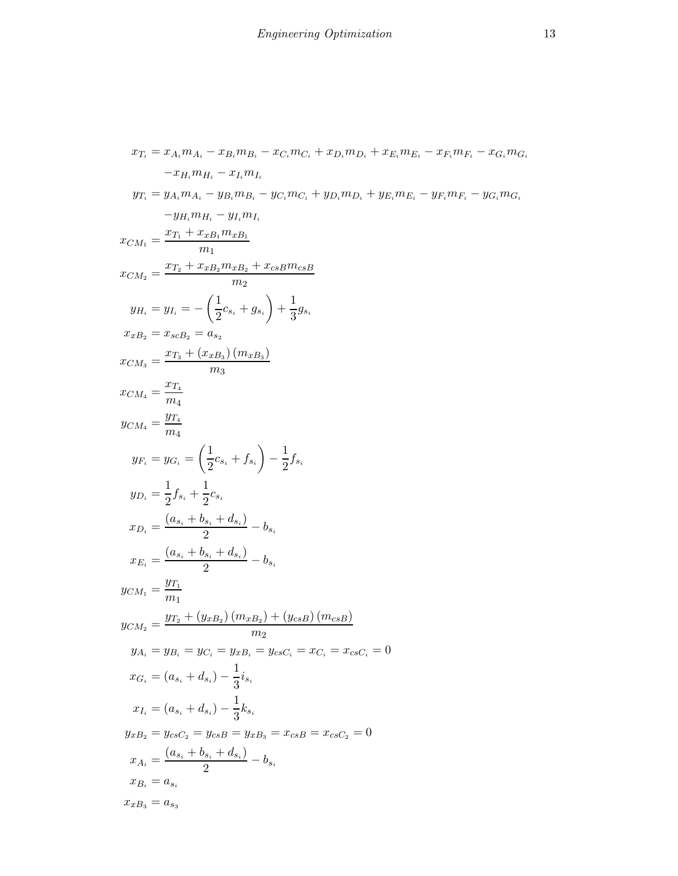$$
x_{T_1} = x_{A_1}m_{A_1} - x_{B_1}m_{B_1} - x_{C_1}m_{C_1} + x_{D_1}m_{D_1} + x_{E_1}m_{E_1} - x_{F_1}m_{F_1} - x_{G_1}m_{G_1}
$$
  
\n
$$
-x_{H_1}m_{H_1} - x_{I_1}m_{I_1}
$$
  
\n
$$
y_{T_1} = y_{A_1}m_{A_1} - y_{B_1}m_{B_1} - y_{C_1}m_{C_1} + y_{D_1}m_{D_1} + y_{E_1}m_{E_1} - y_{F_1}m_{F_1} - y_{G_1}m_{G_1}
$$
  
\n
$$
-y_{H_1}m_{H_1} - y_{I_1}m_{I_1}
$$
  
\n
$$
x_{CM_1} = \frac{x_{T_1} + x_{x_{B_1}}m_{x_{B_1}}}{m_1}
$$
  
\n
$$
y_{H_1} = y_{I_1} = -\left(\frac{1}{2}c_{8_1} + g_{8_1}\right) + \frac{1}{3}g_{8_1}
$$
  
\n
$$
x_{x_{B_2}} = x_{scB_2} = a_{s_2}
$$
  
\n
$$
x_{CM_3} = \frac{x_{T_3} + (x_{x_{B_3}})(m_{x_{B_3}})}{m_3}
$$
  
\n
$$
y_{CM_4} = \frac{y_{T_4}}{m_4}
$$
  
\n
$$
y_{C_4} = y_{G_1} = \left(\frac{1}{2}c_{s_1} + f_{s_1}\right) - \frac{1}{2}f_{s_1}
$$
  
\n
$$
y_{D_1} = \frac{1}{2}f_{s_1} + \frac{1}{2}c_{s_1}
$$
  
\n
$$
x_{D_1} = \frac{(a_{s_1} + b_{s_1} + d_{s_1})}{2} - b_{s_1}
$$
  
\n
$$
x_{C_2} = \frac{(a_{s_1} + b_{s_1} + d_{s_1})}{2} - b_{s_1}
$$
  
\n
$$
y_{CM_1} = \frac{y_{T_1}}{m_1}
$$
  
\n<math display="</math>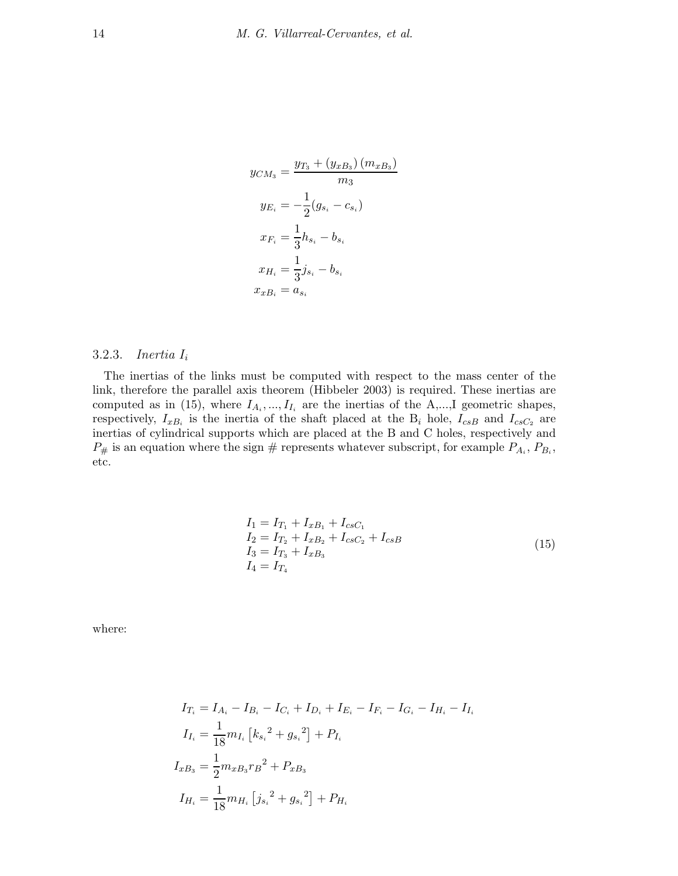$$
y_{CM_3} = \frac{y_{T_3} + (y_{xB_3}) (m_{xB_3})}{m_3}
$$

$$
y_{E_i} = -\frac{1}{2}(g_{s_i} - c_{s_i})
$$

$$
x_{F_i} = \frac{1}{3}h_{s_i} - b_{s_i}
$$

$$
x_{H_i} = \frac{1}{3}j_{s_i} - b_{s_i}
$$

$$
x_{xB_i} = a_{s_i}
$$

## 3.2.3. Inertia  $I_i$

The inertias of the links must be computed with respect to the mass center of the link, therefore the parallel axis theorem (Hibbeler 2003) is required. These inertias are computed as in (15), where  $I_{A_i},...,I_{I_i}$  are the inertias of the A,...,I geometric shapes, respectively,  $I_{xB_i}$  is the inertia of the shaft placed at the  $B_i$  hole,  $I_{csB}$  and  $I_{csC_2}$  are inertias of cylindrical supports which are placed at the B and C holes, respectively and  $P_{\#}$  is an equation where the sign  $\#$  represents whatever subscript, for example  $P_{A_i}, P_{B_i},$ etc.

$$
I_1 = I_{T_1} + I_{xB_1} + I_{c s C_1}
$$
  
\n
$$
I_2 = I_{T_2} + I_{x B_2} + I_{c s C_2} + I_{c s B}
$$
  
\n
$$
I_3 = I_{T_3} + I_{x B_3}
$$
  
\n
$$
I_4 = I_{T_4}
$$
\n(15)

where:

$$
I_{T_i} = I_{A_i} - I_{B_i} - I_{C_i} + I_{D_i} + I_{E_i} - I_{F_i} - I_{G_i} - I_{H_i} - I_{I_i}
$$
  
\n
$$
I_{I_i} = \frac{1}{18} m_{I_i} [k_{s_i}^2 + g_{s_i}^2] + P_{I_i}
$$
  
\n
$$
I_{xB_3} = \frac{1}{2} m_{xB_3} r_B^2 + P_{xB_3}
$$
  
\n
$$
I_{H_i} = \frac{1}{18} m_{H_i} [j_{s_i}^2 + g_{s_i}^2] + P_{H_i}
$$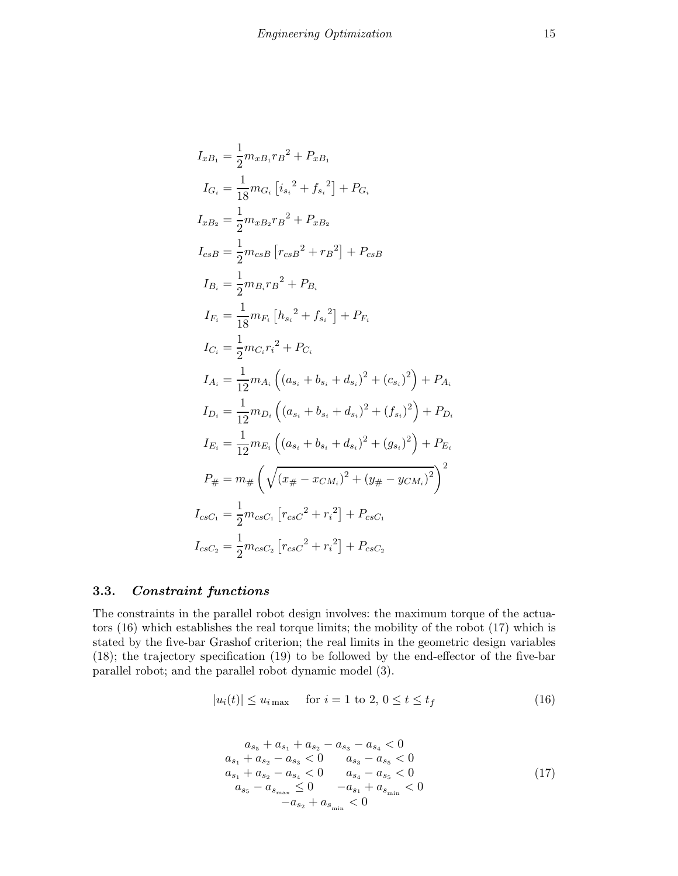$$
I_{xB_1} = \frac{1}{2} m_{xB_1} r_B^2 + P_{xB_1}
$$
  
\n
$$
I_{G_i} = \frac{1}{18} m_{G_i} [i_{s_i}^2 + f_{s_i}^2] + P_{G_i}
$$
  
\n
$$
I_{xB_2} = \frac{1}{2} m_{xB_2} r_B^2 + P_{xB_2}
$$
  
\n
$$
I_{csB} = \frac{1}{2} m_{csB} [r_{csB}^2 + r_B^2] + P_{csB}
$$
  
\n
$$
I_{B_i} = \frac{1}{2} m_{B_i} r_B^2 + P_{B_i}
$$
  
\n
$$
I_{F_i} = \frac{1}{18} m_{F_i} [h_{s_i}^2 + f_{s_i}^2] + P_{F_i}
$$
  
\n
$$
I_{C_i} = \frac{1}{2} m_{C_i} r_i^2 + P_{C_i}
$$
  
\n
$$
I_{A_i} = \frac{1}{12} m_{A_i} ((a_{s_i} + b_{s_i} + d_{s_i})^2 + (c_{s_i})^2) + P_{A_i}
$$
  
\n
$$
I_{D_i} = \frac{1}{12} m_{D_i} ((a_{s_i} + b_{s_i} + d_{s_i})^2 + (f_{s_i})^2) + P_{D_i}
$$
  
\n
$$
I_{E_i} = \frac{1}{12} m_{E_i} ((a_{s_i} + b_{s_i} + d_{s_i})^2 + (g_{s_i})^2) + P_{E_i}
$$
  
\n
$$
P_{#} = m_{#} (\sqrt{(x_{#} - x_{CM_i})^2 + (y_{#} - y_{CM_i})^2})^2
$$
  
\n
$$
I_{csC_1} = \frac{1}{2} m_{csc_1} [r_{csC}^2 + r_i^2] + P_{csC_1}
$$
  
\n
$$
I_{csC_2} = \frac{1}{2} m_{csc_2} [r_{csC}^2 + r_i^2] + P_{csC_2}
$$

# 3.3. Constraint functions

The constraints in the parallel robot design involves: the maximum torque of the actuators (16) which establishes the real torque limits; the mobility of the robot (17) which is stated by the five-bar Grashof criterion; the real limits in the geometric design variables (18); the trajectory specification (19) to be followed by the end-effector of the five-bar parallel robot; and the parallel robot dynamic model (3).

$$
|u_i(t)| \le u_{i\max} \quad \text{ for } i = 1 \text{ to } 2, 0 \le t \le t_f \tag{16}
$$

$$
a_{s_5} + a_{s_1} + a_{s_2} - a_{s_3} - a_{s_4} < 0
$$
  
\n
$$
a_{s_1} + a_{s_2} - a_{s_3} < 0 \t a_{s_3} - a_{s_5} < 0
$$
  
\n
$$
a_{s_1} + a_{s_2} - a_{s_4} < 0 \t a_{s_4} - a_{s_5} < 0
$$
  
\n
$$
a_{s_5} - a_{s_{\text{max}}} \leq 0 \t -a_{s_1} + a_{s_{\text{min}}} < 0
$$
  
\n
$$
-a_{s_2} + a_{s_{\text{min}}} < 0
$$
\n(17)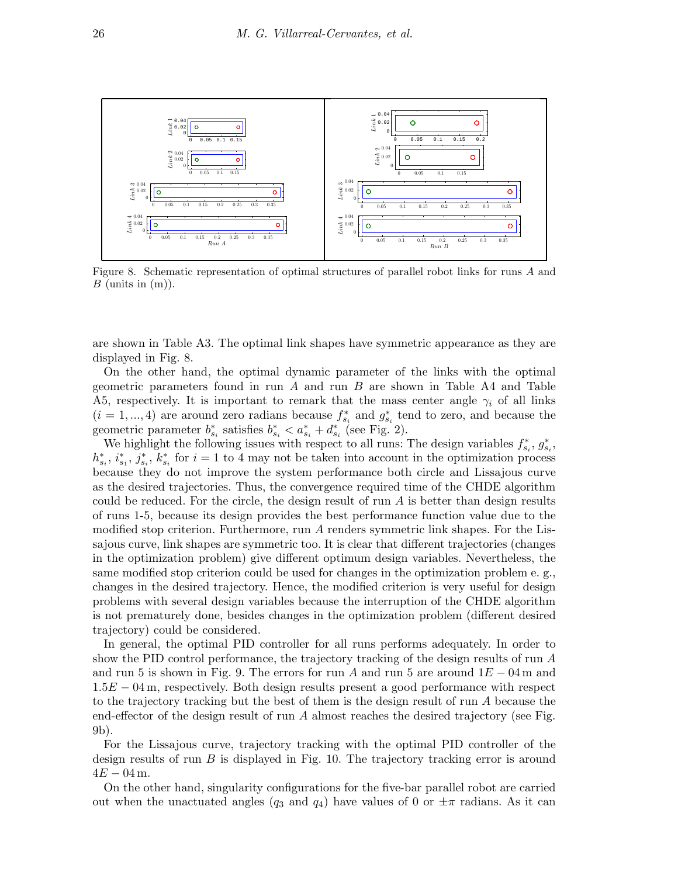

Figure 8. Schematic representation of optimal structures of parallel robot links for runs A and  $B$  (units in  $(m)$ ).

are shown in Table A3. The optimal link shapes have symmetric appearance as they are displayed in Fig. 8.

On the other hand, the optimal dynamic parameter of the links with the optimal geometric parameters found in run  $A$  and run  $B$  are shown in Table A4 and Table A5, respectively. It is important to remark that the mass center angle  $\gamma_i$  of all links  $(i = 1, ..., 4)$  are around zero radians because  $f_s^*$  $s_i^*$  and  $g_s^*$  $s_i$  tend to zero, and because the seometric parameter  $b_s^*$ <sup>\*</sup><sub>s<sub>i</sub></sub> satisfies  $b_{s_i}^* < a_{s_i}^* + d_s^*$  $s_i$  (see Fig. 2).

We highlight the following issues with respect to all runs: The design variables  $f_s^*$ .  $s_i^*, g_s^*$  $_{s_i}^*$ ,  $h_s^*$  $_{s_i}^*, i_s^*$  $_{s_1}^*,\,\,\,\,\, j_s^*$  $\sum_{s_i}^* , k_s^*$  $s_i$  for  $i = 1$  to 4 may not be taken into account in the optimization process because they do not improve the system performance both circle and Lissajous curve as the desired trajectories. Thus, the convergence required time of the CHDE algorithm could be reduced. For the circle, the design result of run  $A$  is better than design results of runs 1-5, because its design provides the best performance function value due to the modified stop criterion. Furthermore, run A renders symmetric link shapes. For the Lissajous curve, link shapes are symmetric too. It is clear that different trajectories (changes in the optimization problem) give different optimum design variables. Nevertheless, the same modified stop criterion could be used for changes in the optimization problem e. g., changes in the desired trajectory. Hence, the modified criterion is very useful for design problems with several design variables because the interruption of the CHDE algorithm is not prematurely done, besides changes in the optimization problem (different desired trajectory) could be considered.

In general, the optimal PID controller for all runs performs adequately. In order to show the PID control performance, the trajectory tracking of the design results of run A and run 5 is shown in Fig. 9. The errors for run A and run 5 are around  $1E - 04$  m and  $1.5E - 04$  m, respectively. Both design results present a good performance with respect to the trajectory tracking but the best of them is the design result of run A because the end-effector of the design result of run A almost reaches the desired trajectory (see Fig. 9b).

For the Lissajous curve, trajectory tracking with the optimal PID controller of the design results of run  $B$  is displayed in Fig. 10. The trajectory tracking error is around  $4E - 04$  m.

On the other hand, singularity configurations for the five-bar parallel robot are carried out when the unactuated angles (q<sub>3</sub> and  $q_4$ ) have values of 0 or  $\pm \pi$  radians. As it can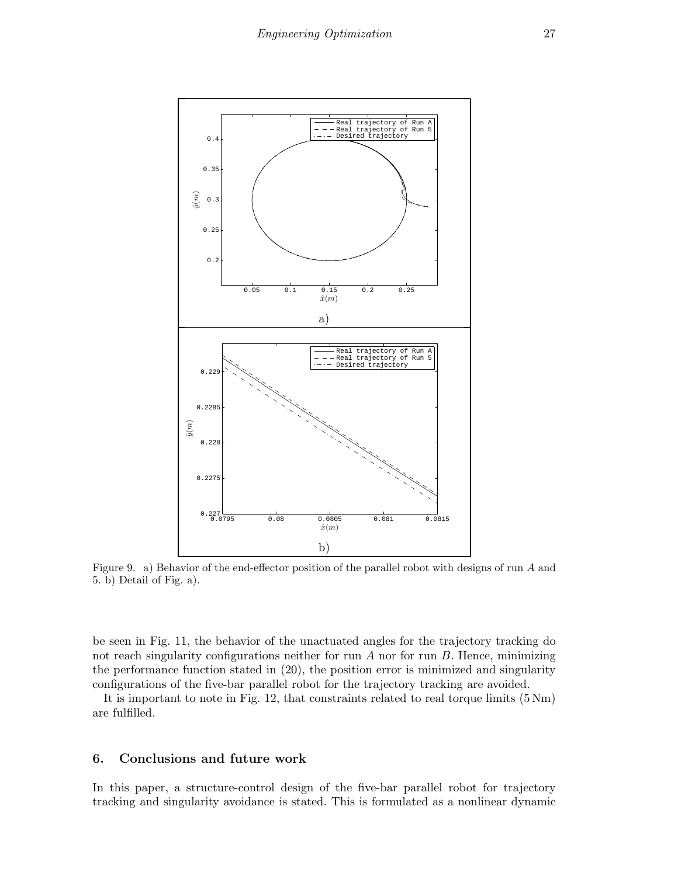

Figure 9. a) Behavior of the end-effector position of the parallel robot with designs of run A and 5. b) Detail of Fig. a).

be seen in Fig. 11, the behavior of the unactuated angles for the trajectory tracking do not reach singularity configurations neither for run  $A$  nor for run  $B$ . Hence, minimizing the performance function stated in (20), the position error is minimized and singularity configurations of the five-bar parallel robot for the trajectory tracking are avoided.

It is important to note in Fig. 12, that constraints related to real torque limits (5 Nm) are fulfilled.

#### 6. Conclusions and future work

In this paper, a structure-control design of the five-bar parallel robot for trajectory tracking and singularity avoidance is stated. This is formulated as a nonlinear dynamic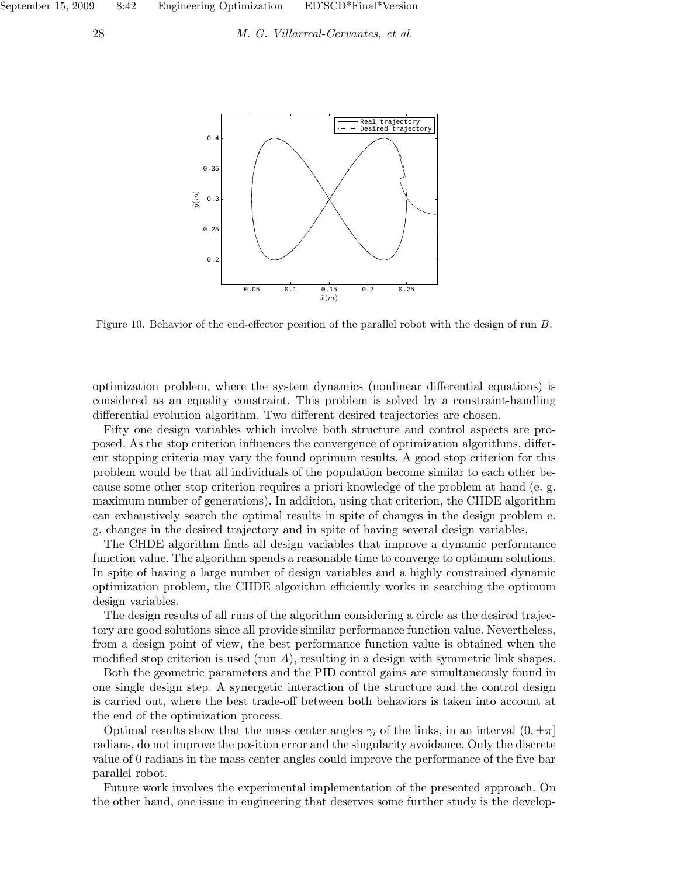

Figure 10. Behavior of the end-effector position of the parallel robot with the design of run B.

optimization problem, where the system dynamics (nonlinear differential equations) is considered as an equality constraint. This problem is solved by a constraint-handling differential evolution algorithm. Two different desired trajectories are chosen.

Fifty one design variables which involve both structure and control aspects are proposed. As the stop criterion influences the convergence of optimization algorithms, different stopping criteria may vary the found optimum results. A good stop criterion for this problem would be that all individuals of the population become similar to each other because some other stop criterion requires a priori knowledge of the problem at hand (e. g. maximum number of generations). In addition, using that criterion, the CHDE algorithm can exhaustively search the optimal results in spite of changes in the design problem e. g. changes in the desired trajectory and in spite of having several design variables.

The CHDE algorithm finds all design variables that improve a dynamic performance function value. The algorithm spends a reasonable time to converge to optimum solutions. In spite of having a large number of design variables and a highly constrained dynamic optimization problem, the CHDE algorithm efficiently works in searching the optimum design variables.

The design results of all runs of the algorithm considering a circle as the desired trajectory are good solutions since all provide similar performance function value. Nevertheless, from a design point of view, the best performance function value is obtained when the modified stop criterion is used (run  $A$ ), resulting in a design with symmetric link shapes.

Both the geometric parameters and the PID control gains are simultaneously found in one single design step. A synergetic interaction of the structure and the control design is carried out, where the best trade-off between both behaviors is taken into account at the end of the optimization process.

Optimal results show that the mass center angles  $\gamma_i$  of the links, in an interval  $(0, \pm \pi]$ radians, do not improve the position error and the singularity avoidance. Only the discrete value of 0 radians in the mass center angles could improve the performance of the five-bar parallel robot.

Future work involves the experimental implementation of the presented approach. On the other hand, one issue in engineering that deserves some further study is the develop-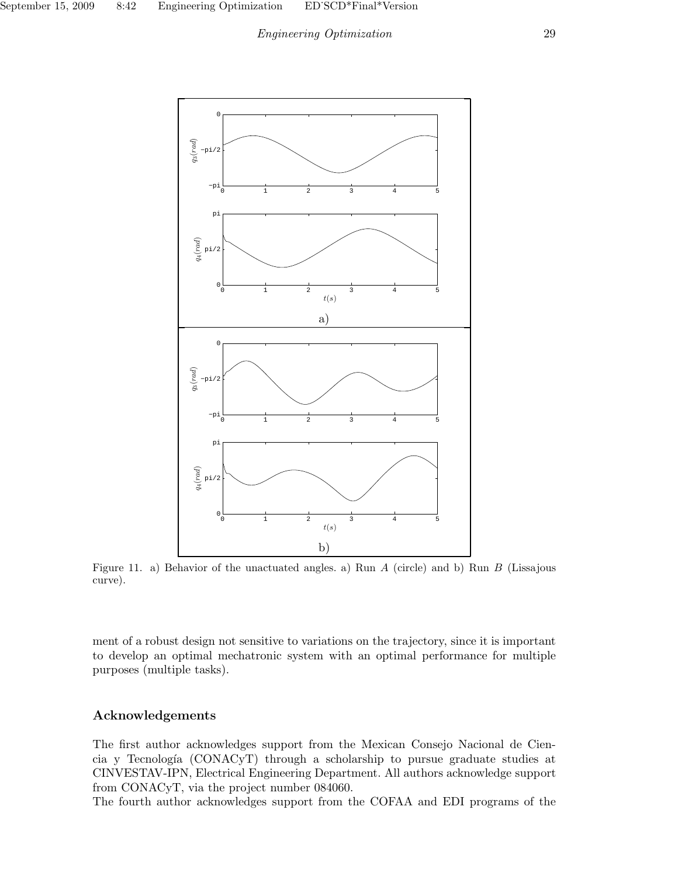## Engineering Optimization 29



Figure 11. a) Behavior of the unactuated angles. a) Run A (circle) and b) Run B (Lissajous curve).

ment of a robust design not sensitive to variations on the trajectory, since it is important to develop an optimal mechatronic system with an optimal performance for multiple purposes (multiple tasks).

## Acknowledgements

The first author acknowledges support from the Mexican Consejo Nacional de Ciencia y Tecnolog´ıa (CONACyT) through a scholarship to pursue graduate studies at CINVESTAV-IPN, Electrical Engineering Department. All authors acknowledge support from CONACyT, via the project number 084060.

The fourth author acknowledges support from the COFAA and EDI programs of the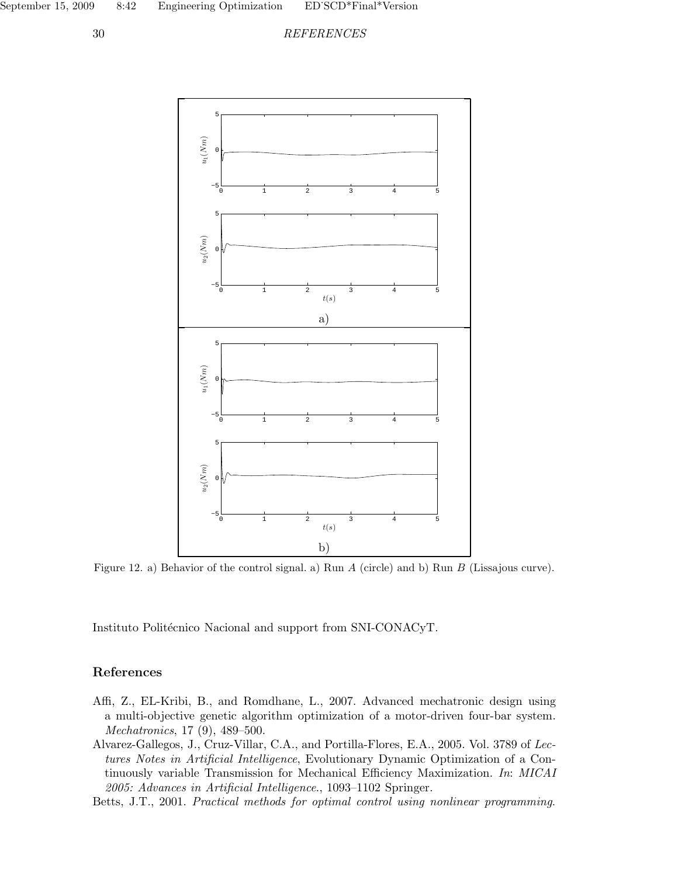



Figure 12. a) Behavior of the control signal. a) Run A (circle) and b) Run B (Lissajous curve).

Instituto Politécnico Nacional and support from SNI-CONACyT.

## References

- Affi, Z., EL-Kribi, B., and Romdhane, L., 2007. Advanced mechatronic design using a multi-objective genetic algorithm optimization of a motor-driven four-bar system. Mechatronics, 17 (9), 489–500.
- Alvarez-Gallegos, J., Cruz-Villar, C.A., and Portilla-Flores, E.A., 2005. Vol. 3789 of Lectures Notes in Artificial Intelligence, Evolutionary Dynamic Optimization of a Continuously variable Transmission for Mechanical Efficiency Maximization. In: MICAI 2005: Advances in Artificial Intelligence., 1093–1102 Springer.
- Betts, J.T., 2001. Practical methods for optimal control using nonlinear programming.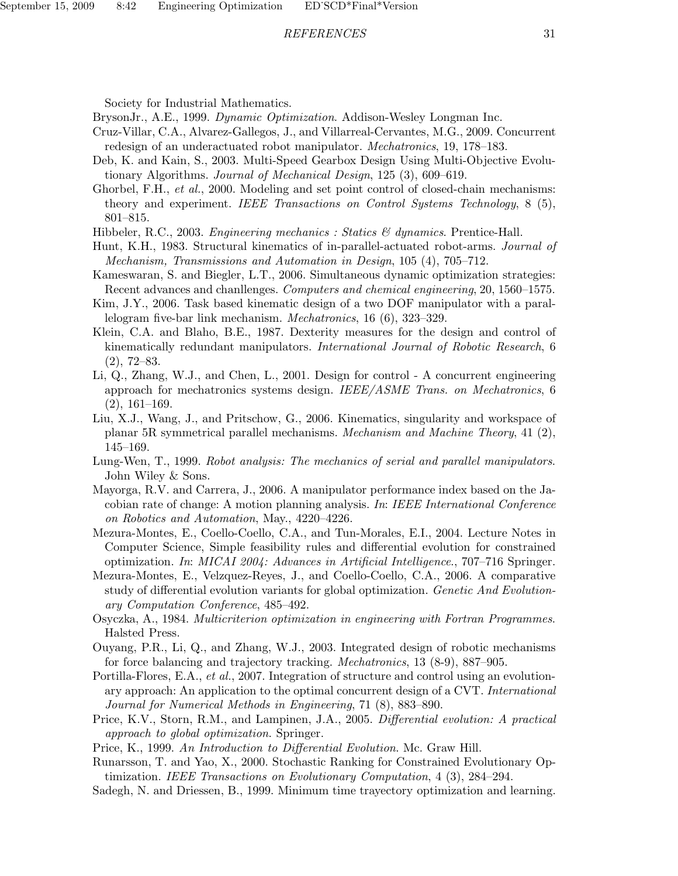#### REFERENCES 31

Society for Industrial Mathematics.

BrysonJr., A.E., 1999. Dynamic Optimization. Addison-Wesley Longman Inc.

- Cruz-Villar, C.A., Alvarez-Gallegos, J., and Villarreal-Cervantes, M.G., 2009. Concurrent redesign of an underactuated robot manipulator. Mechatronics, 19, 178–183.
- Deb, K. and Kain, S., 2003. Multi-Speed Gearbox Design Using Multi-Objective Evolutionary Algorithms. Journal of Mechanical Design, 125 (3), 609–619.
- Ghorbel, F.H., *et al.*, 2000. Modeling and set point control of closed-chain mechanisms: theory and experiment. IEEE Transactions on Control Systems Technology, 8 (5), 801–815.
- Hibbeler, R.C., 2003. Engineering mechanics : Statics & dynamics. Prentice-Hall.
- Hunt, K.H., 1983. Structural kinematics of in-parallel-actuated robot-arms. Journal of Mechanism, Transmissions and Automation in Design, 105 (4), 705–712.
- Kameswaran, S. and Biegler, L.T., 2006. Simultaneous dynamic optimization strategies: Recent advances and chanllenges. Computers and chemical engineering, 20, 1560–1575.
- Kim, J.Y., 2006. Task based kinematic design of a two DOF manipulator with a parallelogram five-bar link mechanism. Mechatronics, 16 (6), 323–329.
- Klein, C.A. and Blaho, B.E., 1987. Dexterity measures for the design and control of kinematically redundant manipulators. International Journal of Robotic Research, 6 (2), 72–83.
- Li, Q., Zhang, W.J., and Chen, L., 2001. Design for control A concurrent engineering approach for mechatronics systems design. IEEE/ASME Trans. on Mechatronics, 6 (2), 161–169.
- Liu, X.J., Wang, J., and Pritschow, G., 2006. Kinematics, singularity and workspace of planar 5R symmetrical parallel mechanisms. Mechanism and Machine Theory, 41 (2), 145–169.
- Lung-Wen, T., 1999. Robot analysis: The mechanics of serial and parallel manipulators. John Wiley & Sons.
- Mayorga, R.V. and Carrera, J., 2006. A manipulator performance index based on the Jacobian rate of change: A motion planning analysis. In: IEEE International Conference on Robotics and Automation, May., 4220–4226.
- Mezura-Montes, E., Coello-Coello, C.A., and Tun-Morales, E.I., 2004. Lecture Notes in Computer Science, Simple feasibility rules and differential evolution for constrained optimization. In: MICAI 2004: Advances in Artificial Intelligence., 707–716 Springer.
- Mezura-Montes, E., Velzquez-Reyes, J., and Coello-Coello, C.A., 2006. A comparative study of differential evolution variants for global optimization. Genetic And Evolutionary Computation Conference, 485–492.
- Osyczka, A., 1984. Multicriterion optimization in engineering with Fortran Programmes. Halsted Press.
- Ouyang, P.R., Li, Q., and Zhang, W.J., 2003. Integrated design of robotic mechanisms for force balancing and trajectory tracking. Mechatronics, 13 (8-9), 887–905.
- Portilla-Flores, E.A., et al., 2007. Integration of structure and control using an evolutionary approach: An application to the optimal concurrent design of a CVT. International Journal for Numerical Methods in Engineering, 71 (8), 883–890.
- Price, K.V., Storn, R.M., and Lampinen, J.A., 2005. Differential evolution: A practical approach to global optimization. Springer.
- Price, K., 1999. An Introduction to Differential Evolution. Mc. Graw Hill.
- Runarsson, T. and Yao, X., 2000. Stochastic Ranking for Constrained Evolutionary Optimization. IEEE Transactions on Evolutionary Computation, 4 (3), 284–294.
- Sadegh, N. and Driessen, B., 1999. Minimum time trayectory optimization and learning.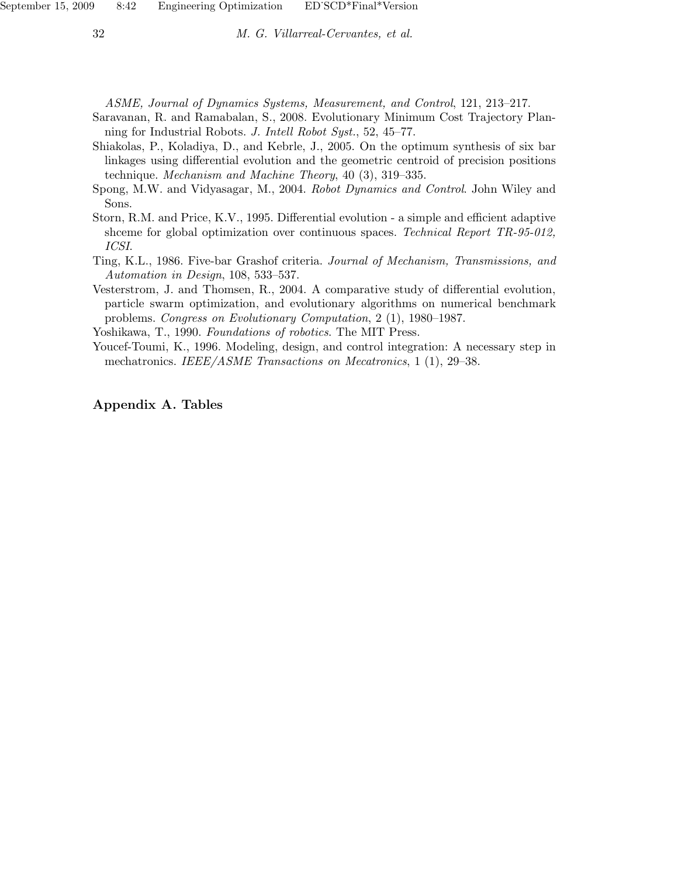ASME, Journal of Dynamics Systems, Measurement, and Control, 121, 213–217.

- Saravanan, R. and Ramabalan, S., 2008. Evolutionary Minimum Cost Trajectory Planning for Industrial Robots. J. Intell Robot Syst., 52, 45–77.
- Shiakolas, P., Koladiya, D., and Kebrle, J., 2005. On the optimum synthesis of six bar linkages using differential evolution and the geometric centroid of precision positions technique. Mechanism and Machine Theory, 40 (3), 319–335.
- Spong, M.W. and Vidyasagar, M., 2004. Robot Dynamics and Control. John Wiley and Sons.
- Storn, R.M. and Price, K.V., 1995. Differential evolution a simple and efficient adaptive shceme for global optimization over continuous spaces. Technical Report TR-95-012, ICSI.
- Ting, K.L., 1986. Five-bar Grashof criteria. Journal of Mechanism, Transmissions, and Automation in Design, 108, 533–537.
- Vesterstrom, J. and Thomsen, R., 2004. A comparative study of differential evolution, particle swarm optimization, and evolutionary algorithms on numerical benchmark problems. Congress on Evolutionary Computation, 2 (1), 1980–1987.

Yoshikawa, T., 1990. Foundations of robotics. The MIT Press.

Youcef-Toumi, K., 1996. Modeling, design, and control integration: A necessary step in mechatronics. *IEEE/ASME Transactions on Mecatronics*, 1 (1), 29–38.

## Appendix A. Tables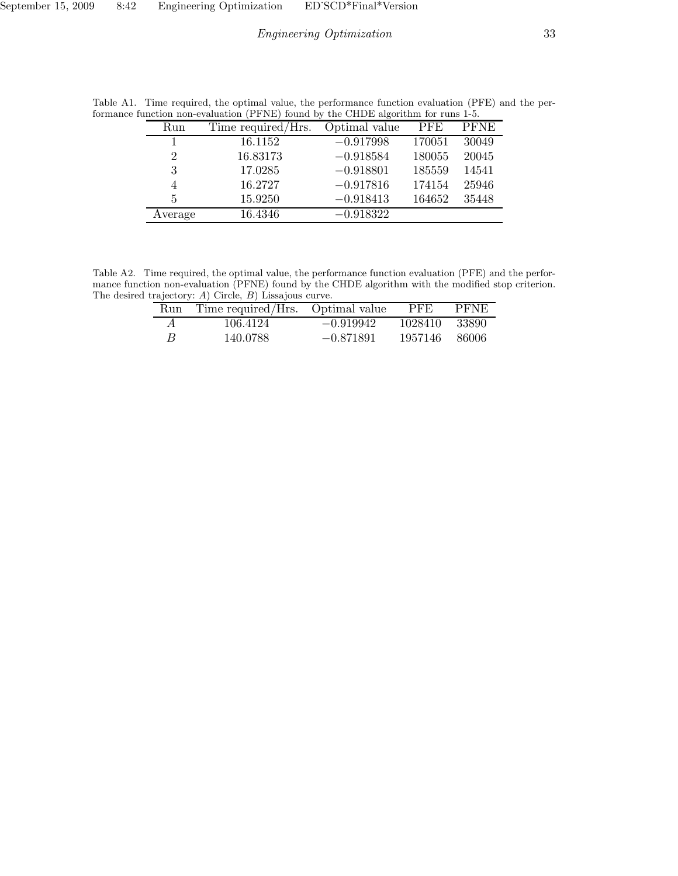| Run     | Time required/Hrs. | Optimal value | <b>PFE</b> | <b>PFNE</b> |
|---------|--------------------|---------------|------------|-------------|
|         | 16.1152            | $-0.917998$   | 170051     | 30049       |
| 2       | 16.83173           | $-0.918584$   | 180055     | 20045       |
| 3       | 17.0285            | $-0.918801$   | 185559     | 14541       |
| 4       | 16.2727            | $-0.917816$   | 174154     | 25946       |
| 5       | 15.9250            | $-0.918413$   | 164652     | 35448       |
| Average | 16.4346            | $-0.918322$   |            |             |

Table A1. Time required, the optimal value, the performance function evaluation (PFE) and the performance function non-evaluation (PFNE) found by the CHDE algorithm for runs 1-5.

Table A2. Time required, the optimal value, the performance function evaluation (PFE) and the performance function non-evaluation (PFNE) found by the CHDE algorithm with the modified stop criterion. The desired trajectory: A) Circle, B) Lissajous curve.  $\overline{a}$ 

| Run            | Time required/Hrs. Optimal value |             | <b>PFE</b> | <b>PFNE</b> |
|----------------|----------------------------------|-------------|------------|-------------|
| $\overline{A}$ | 106.4124                         | $-0.919942$ | 1028410    | -33890      |
| R              | 140.0788                         | $-0.871891$ | 1957146    | - 86006     |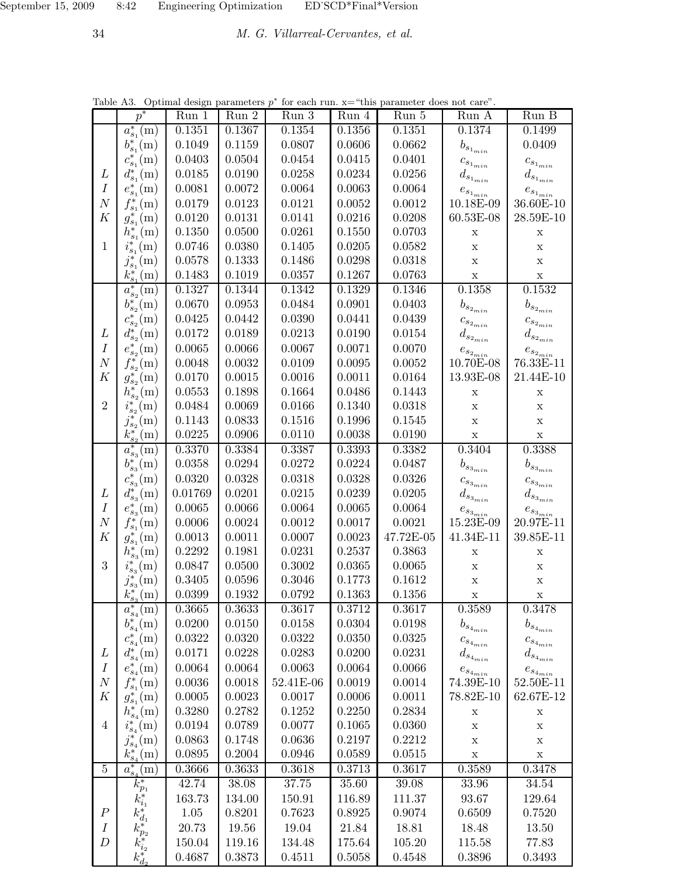34 M. G. Villarreal-Cervantes, et al.

| Table A3. Optimal design parameters $p^*$ for each run. $x =$ "this parameter does not care". |                                                                 |            |              |           |              |            |                                           |                               |
|-----------------------------------------------------------------------------------------------|-----------------------------------------------------------------|------------|--------------|-----------|--------------|------------|-------------------------------------------|-------------------------------|
|                                                                                               | $p^*$                                                           | Run 1      | Run 2        | $Run\ 3$  | Run 4        | Run 5      | Run A                                     | Run B                         |
|                                                                                               | $a_{s_1}^*(\rm{m})$                                             | 0.1351     | 0.1367       | 0.1354    | 0.1356       | 0.1351     | 0.1374                                    | 0.1499                        |
|                                                                                               | $b_{s_1}^*(m)$                                                  | 0.1049     | 0.1159       | 0.0807    | 0.0606       | 0.0662     | $b_{s_{1_{min}}}$                         | 0.0409                        |
|                                                                                               | $c_{s_1}^*(\text{m})$                                           | 0.0403     | $\,0.0504\,$ | 0.0454    | 0.0415       | 0.0401     | ${c_{s_{1_{min}}}}$                       | $c_{s_{1_{min}}}$             |
| L                                                                                             | $d_{s_1}^*(m)$                                                  | 0.0185     | 0.0190       | 0.0258    | $\,0.0234\,$ | 0.0256     | $d_{s_{1_{min}}}$                         | $d_{s_{1_{min}}}$             |
| $\boldsymbol{I}$                                                                              | $e_{s_1}^*(\rm{m})$                                             | 0.0081     | 0.0072       | 0.0064    | 0.0063       | 0.0064     | $e_{s_{1_{\underline{m\underline{i}}n}}}$ | $e_{s_{1_{\underline{min}}}}$ |
| $\boldsymbol{N}$                                                                              | $f_{s_1}^*(m)$                                                  | 0.0179     | 0.0123       | 0.0121    | 0.0052       | 0.0012     | 10.18E-09                                 | 36.60E-10                     |
| K                                                                                             | $g_{s_1}^*(\rm{m})$                                             | 0.0120     | 0.0131       | 0.0141    | 0.0216       | 0.0208     | 60.53E-08                                 | 28.59E-10                     |
|                                                                                               | $h_{s_1}^*(m)$                                                  | 0.1350     | 0.0500       | 0.0261    | 0.1550       | $0.0703\,$ | $\mathbf X$                               | $\mathbf X$                   |
| $\mathbf{1}$                                                                                  | $i_{s_1}^*({\rm m})$                                            | 0.0746     | 0.0380       | 0.1405    | 0.0205       | 0.0582     | $\mathbf X$                               | $\mathbf X$                   |
|                                                                                               | $j_{s_1}^*(\rm{m})$                                             | 0.0578     | 0.1333       | 0.1486    | 0.0298       | 0.0318     | $\mathbf X$                               | $\mathbf X$                   |
|                                                                                               | $k_{s_1}^*({\rm m})$                                            | 0.1483     | 0.1019       | 0.0357    | 0.1267       | 0.0763     | $\mathbf X$                               | $\mathbf X$                   |
|                                                                                               | $a_{s_2}^*(\rm{m})$                                             | 0.1327     | 0.1344       | 0.1342    | 0.1329       | 0.1346     | 0.1358                                    | 0.1532                        |
|                                                                                               | $b_{s_2}^*(m)$                                                  | 0.0670     | 0.0953       | 0.0484    | 0.0901       | 0.0403     | $b_{s_{2_{min}}}$                         | $b_{s_{2_{min}}}$             |
|                                                                                               | $c_{s_2}^*(m)$                                                  | 0.0425     | 0.0442       | 0.0390    | 0.0441       | 0.0439     | $c_{s_{2_{min}}}$                         | $c_{s_{2_{min}}}$             |
| L                                                                                             | $d_{s_2}^*(m)$                                                  | 0.0172     | 0.0189       | 0.0213    | 0.0190       | 0.0154     | $d_{s_{2_{min}}}$                         | $d_{s_{2_{min}}}$             |
| $\boldsymbol{I}$                                                                              | $e_{s_2}^*(m)$                                                  | $0.0065\,$ | $0.0066\,$   | 0.0067    | 0.0071       | 0.0070     | $e_{s_{2_{min}}}$                         | $e_{s_{2_{min}}}$             |
| $\boldsymbol{N}$                                                                              | $f_{s_2}^*(\rm{m})$                                             | 0.0048     | 0.0032       | 0.0109    | $\,0.0095\,$ | 0.0052     | 10.70E-08                                 | 76.33E-11                     |
| K                                                                                             | $g_{s_2}^*(\rm{m})$                                             | 0.0170     | 0.0015       | 0.0016    | 0.0011       | 0.0164     | 13.93E-08                                 | 21.44E-10                     |
|                                                                                               | $h_{s_2}^{*}({\rm m})$                                          | 0.0553     | 0.1898       | 0.1664    | 0.0486       | 0.1443     | $\mathbf X$                               | $\mathbf X$                   |
| $\overline{2}$                                                                                | $i_{s_2}^*({\rm m})$                                            | 0.0484     | 0.0069       | 0.0166    | 0.1340       | 0.0318     | $\mathbf X$                               | $\mathbf X$                   |
|                                                                                               | $j_{s_2}^*(\rm{m})$                                             | 0.1143     | 0.0833       | 0.1516    | 0.1996       | 0.1545     | $\mathbf X$                               | $\mathbf X$                   |
|                                                                                               | $k_{s_2}^*(\text{m})$                                           | 0.0225     | 0.0906       | 0.0110    | 0.0038       | 0.0190     | $\mathbf X$                               | $\mathbf X$                   |
|                                                                                               | $a_{s_3}^*(\rm{m})$                                             | 0.3370     | 0.3384       | 0.3387    | 0.3393       | 0.3382     | 0.3404                                    | 0.3388                        |
|                                                                                               | $b_{s_3}^*(m)$                                                  | 0.0358     | 0.0294       | 0.0272    | 0.0224       | 0.0487     | $b_{s_{3_{min}}}$                         | $b_{s_{3_{min}}}$             |
|                                                                                               | $c_{s_3}^*(\rm{m})$                                             | 0.0320     | 0.0328       | 0.0318    | 0.0328       | 0.0326     | ${c_{s_{3_{min}}}}$                       | ${c_{s_{3_{min}}}}$           |
| L                                                                                             | $d_{s_3}^*(\rm{m})$                                             | 0.01769    | 0.0201       | 0.0215    | 0.0239       | 0.0205     | $d_{s_{3_{min}}}$                         | $d_{s_{3_{min}}}$             |
| $\boldsymbol{I}$                                                                              | $e_{s_3}^*(m)$                                                  | 0.0065     | 0.0066       | 0.0064    | 0.0065       | 0.0064     | $e_{s_{3_{min}}}$                         | $e_{s_{3_{min}}}$             |
| $\boldsymbol{N}$                                                                              | $f_{s_1}^*(\rm{m})$                                             | 0.0006     | 0.0024       | 0.0012    | 0.0017       | 0.0021     | 15.23E-09                                 | 20.97E-11                     |
| $\boldsymbol{K}$                                                                              | $g_{s_1}^*(\rm{m})$                                             | 0.0013     | $0.0011\,$   | 0.0007    | 0.0023       | 47.72E-05  | 41.34E-11                                 | 39.85E-11                     |
|                                                                                               | $h_{s_3}^*(m)$                                                  | 0.2292     | 0.1981       | 0.0231    | 0.2537       | 0.3863     | $\mathbf X$                               | $\mathbf X$                   |
| 3                                                                                             | $i_{s_3}^*({\rm m})$                                            | 0.0847     | 0.0500       | 0.3002    | 0.0365       | 0.0065     | $\mathbf X$                               | $\mathbf X$                   |
|                                                                                               | $j_{s_3}^*(\rm{m})$                                             | 0.3405     | 0.0596       | 0.3046    | 0.1773       | 0.1612     | $\mathbf X$                               | $\mathbf X$                   |
|                                                                                               | $k_{s_3}^*(\rm{m})$                                             | 0.0399     | 0.1932       | 0.0792    | 0.1363       | 0.1356     | Х                                         | Х                             |
|                                                                                               | $a_{s_4}^*(\mathrm{m})$                                         | 0.3665     | 0.3633       | 0.3617    | 0.3712       | 0.3617     | 0.3589                                    | 0.3478                        |
|                                                                                               | $b_{s_4}^*(m)$                                                  | 0.0200     | 0.0150       | 0.0158    | 0.0304       | 0.0198     | $b_{s_{4_{min}}}$                         | $b_{s_{4_{min}}}$             |
|                                                                                               | $c_{s_4}^*(\mathrm{m})$                                         | 0.0322     | 0.0320       | 0.0322    | 0.0350       | 0.0325     | $c_{s_{4_{min}}}$                         | $c_{s_{4_{min}}}$             |
| L                                                                                             | $d_{s_4}^*(\rm{m})$                                             | 0.0171     | 0.0228       | 0.0283    | 0.0200       | 0.0231     | $d_{s_{4_{\min}}}$                        | $d_{s_{4_{\min}}}$            |
| $\boldsymbol{I}$                                                                              | $e_{s_4}^*(\rm{m})$                                             | 0.0064     | 0.0064       | 0.0063    | 0.0064       | 0.0066     | $e_{s_{4_{min}}}$                         | $e_{s_{4_{min}}}$             |
| $\boldsymbol{N}$                                                                              | $f_{s_1}^*(m)$                                                  | 0.0036     | 0.0018       | 52.41E-06 | 0.0019       | 0.0014     | 74.39E-10                                 | 52.50E-11                     |
| $\boldsymbol{K}$                                                                              | $g_{s_1}^*(\rm{m})$                                             | 0.0005     | 0.0023       | 0.0017    | 0.0006       | 0.0011     | 78.82E-10                                 | 62.67E-12                     |
|                                                                                               | $h_{s_4}^*(m)$                                                  | 0.3280     | 0.2782       | 0.1252    | 0.2250       | 0.2834     | $\mathbf X$                               | $\mathbf X$                   |
| $\overline{4}$                                                                                | $i_{s_4}^*({\rm m})$                                            | 0.0194     | 0.0789       | 0.0077    | 0.1065       | 0.0360     | $\mathbf X$                               | X                             |
|                                                                                               | $j_{s_4}^*(\rm{m})$                                             | 0.0863     | 0.1748       | 0.0636    | 0.2197       | 0.2212     | $\mathbf X$                               | $\mathbf X$                   |
|                                                                                               | $k_{s_4}^*(\rm{m})$                                             | 0.0895     | 0.2004       | 0.0946    | 0.0589       | 0.0515     | $\mathbf X$                               | $\mathbf X$                   |
| $\bf 5$                                                                                       | $a_{s_4}^*(\rm{m})$                                             | 0.3666     | 0.3633       | 0.3618    | 0.3713       | 0.3617     | 0.3589                                    | 0.3478                        |
|                                                                                               | $k_{p_1}^*$                                                     | 42.74      | 38.08        | 37.75     | 35.60        | 39.08      | 33.96                                     | 34.54                         |
|                                                                                               | $k_{i_1}^*$                                                     | 163.73     | 134.00       | 150.91    | 116.89       | 111.37     | 93.67                                     | 129.64                        |
| $\boldsymbol{P}$                                                                              | $k_{d_1}^{\ast}$                                                | 1.05       | 0.8201       | 0.7623    | 0.8925       | 0.9074     | 0.6509                                    | 0.7520                        |
| $\boldsymbol{I}$                                                                              |                                                                 | 20.73      | 19.56        | 19.04     | 21.84        | 18.81      | 18.48                                     | 13.50                         |
| D                                                                                             |                                                                 | 150.04     | $119.16\,$   | 134.48    | 175.64       | 105.20     | 115.58                                    | 77.83                         |
|                                                                                               | $\begin{matrix} k_{p_2}^* \ k_{i_2}^* \ k_{d_2}^* \end{matrix}$ | 0.4687     | 0.3873       | 0.4511    | 0.5058       | 0.4548     | 0.3896                                    | 0.3493                        |